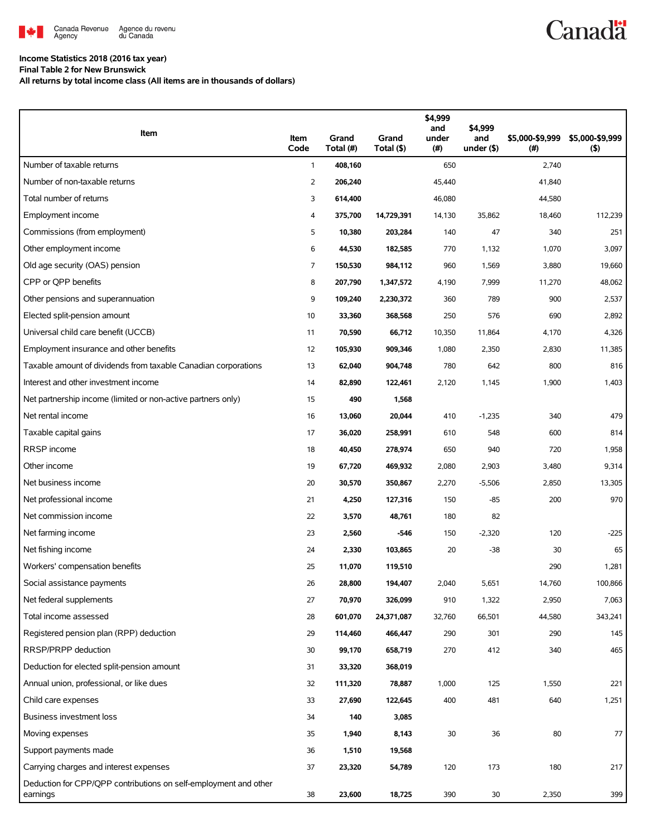

## **Income Statistics 2018 (2016 tax year)**

**Final Table 2 for New Brunswick**

**All returns by total income class (All items are in thousands of dollars)**

| Item                                                                         | Item<br>Code   | Grand<br>Total (#) | Grand<br>Total (\$) | \$4,999<br>and<br>under<br>(#) | \$4,999<br>and<br>under (\$) | \$5,000-\$9,999<br>(#) | \$5,000-\$9,999<br>$($ \$) |
|------------------------------------------------------------------------------|----------------|--------------------|---------------------|--------------------------------|------------------------------|------------------------|----------------------------|
| Number of taxable returns                                                    | $\mathbf{1}$   | 408,160            |                     | 650                            |                              | 2,740                  |                            |
| Number of non-taxable returns                                                | $\overline{2}$ | 206,240            |                     | 45,440                         |                              | 41,840                 |                            |
| Total number of returns                                                      | 3              | 614,400            |                     | 46,080                         |                              | 44,580                 |                            |
| Employment income                                                            | 4              | 375,700            | 14,729,391          | 14,130                         | 35,862                       | 18,460                 | 112,239                    |
| Commissions (from employment)                                                | 5              | 10,380             | 203,284             | 140                            | 47                           | 340                    | 251                        |
| Other employment income                                                      | 6              | 44,530             | 182,585             | 770                            | 1,132                        | 1,070                  | 3,097                      |
| Old age security (OAS) pension                                               | $\overline{7}$ | 150,530            | 984,112             | 960                            | 1,569                        | 3,880                  | 19,660                     |
| CPP or OPP benefits                                                          | 8              | 207,790            | 1,347,572           | 4,190                          | 7,999                        | 11,270                 | 48,062                     |
| Other pensions and superannuation                                            | 9              | 109,240            | 2,230,372           | 360                            | 789                          | 900                    | 2,537                      |
| Elected split-pension amount                                                 | 10             | 33,360             | 368,568             | 250                            | 576                          | 690                    | 2,892                      |
| Universal child care benefit (UCCB)                                          | 11             | 70,590             | 66,712              | 10,350                         | 11,864                       | 4,170                  | 4,326                      |
| Employment insurance and other benefits                                      | 12             | 105,930            | 909,346             | 1,080                          | 2,350                        | 2,830                  | 11,385                     |
| Taxable amount of dividends from taxable Canadian corporations               | 13             | 62,040             | 904,748             | 780                            | 642                          | 800                    | 816                        |
| Interest and other investment income                                         | 14             | 82,890             | 122,461             | 2,120                          | 1,145                        | 1,900                  | 1,403                      |
| Net partnership income (limited or non-active partners only)                 | 15             | 490                | 1,568               |                                |                              |                        |                            |
| Net rental income                                                            | 16             | 13,060             | 20,044              | 410                            | $-1,235$                     | 340                    | 479                        |
| Taxable capital gains                                                        | 17             | 36,020             | 258,991             | 610                            | 548                          | 600                    | 814                        |
| RRSP income                                                                  | 18             | 40,450             | 278,974             | 650                            | 940                          | 720                    | 1,958                      |
| Other income                                                                 | 19             | 67,720             | 469,932             | 2,080                          | 2,903                        | 3,480                  | 9,314                      |
| Net business income                                                          | 20             | 30,570             | 350,867             | 2,270                          | $-5,506$                     | 2,850                  | 13,305                     |
| Net professional income                                                      | 21             | 4,250              | 127,316             | 150                            | $-85$                        | 200                    | 970                        |
| Net commission income                                                        | 22             | 3,570              | 48,761              | 180                            | 82                           |                        |                            |
| Net farming income                                                           | 23             | 2,560              | -546                | 150                            | $-2,320$                     | 120                    | $-225$                     |
| Net fishing income                                                           | 24             | 2,330              | 103,865             | 20                             | $-38$                        | 30                     | 65                         |
| Workers' compensation benefits                                               | 25             | 11,070             | 119,510             |                                |                              | 290                    | 1,281                      |
| Social assistance payments                                                   | 26             | 28,800             | 194,407             | 2,040                          | 5,651                        | 14,760                 | 100,866                    |
| Net federal supplements                                                      | 27             | 70,970             | 326,099             | 910                            | 1,322                        | 2,950                  | 7,063                      |
| Total income assessed                                                        | 28             | 601,070            | 24,371,087          | 32,760                         | 66,501                       | 44,580                 | 343,241                    |
| Registered pension plan (RPP) deduction                                      | 29             | 114,460            | 466,447             | 290                            | 301                          | 290                    | 145                        |
| RRSP/PRPP deduction                                                          | 30             | 99,170             | 658,719             | 270                            | 412                          | 340                    | 465                        |
| Deduction for elected split-pension amount                                   | 31             | 33,320             | 368,019             |                                |                              |                        |                            |
| Annual union, professional, or like dues                                     | 32             | 111,320            | 78,887              | 1,000                          | 125                          | 1,550                  | 221                        |
| Child care expenses                                                          | 33             | 27,690             | 122,645             | 400                            | 481                          | 640                    | 1,251                      |
| <b>Business investment loss</b>                                              | 34             | 140                | 3,085               |                                |                              |                        |                            |
| Moving expenses                                                              | 35             | 1,940              | 8,143               | 30                             | 36                           | 80                     | 77                         |
| Support payments made                                                        | 36             | 1,510              | 19,568              |                                |                              |                        |                            |
| Carrying charges and interest expenses                                       | 37             | 23,320             | 54,789              | 120                            | 173                          | 180                    | 217                        |
| Deduction for CPP/QPP contributions on self-employment and other<br>earnings | 38             | 23,600             | 18,725              | 390                            | 30                           | 2,350                  | 399                        |

**Canadä**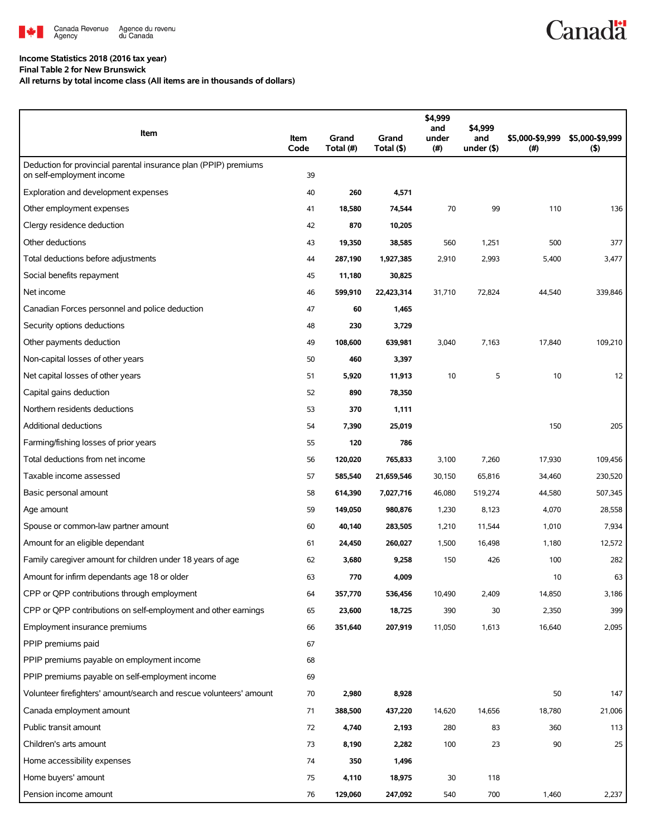

## **Income Statistics 2018 (2016 tax year)**

**Final Table 2 for New Brunswick**

**All returns by total income class (All items are in thousands of dollars)**

| Item                                                                                          | Item<br>Code | Grand<br>Total (#) | Grand<br>Total (\$) | \$4,999<br>and<br>under<br>(#) | \$4,999<br>and<br>under $($ \$) | \$5,000-\$9,999<br>(#) | \$5,000-\$9,999<br>$($ \$) |
|-----------------------------------------------------------------------------------------------|--------------|--------------------|---------------------|--------------------------------|---------------------------------|------------------------|----------------------------|
| Deduction for provincial parental insurance plan (PPIP) premiums<br>on self-employment income | 39           |                    |                     |                                |                                 |                        |                            |
| Exploration and development expenses                                                          | 40           | 260                | 4,571               |                                |                                 |                        |                            |
| Other employment expenses                                                                     | 41           | 18,580             | 74,544              | 70                             | 99                              | 110                    | 136                        |
| Clergy residence deduction                                                                    | 42           | 870                | 10,205              |                                |                                 |                        |                            |
| Other deductions                                                                              | 43           | 19,350             | 38,585              | 560                            | 1,251                           | 500                    | 377                        |
| Total deductions before adjustments                                                           | 44           | 287,190            | 1,927,385           | 2,910                          | 2,993                           | 5,400                  | 3,477                      |
| Social benefits repayment                                                                     | 45           | 11,180             | 30,825              |                                |                                 |                        |                            |
| Net income                                                                                    | 46           | 599,910            | 22,423,314          | 31,710                         | 72,824                          | 44,540                 | 339,846                    |
| Canadian Forces personnel and police deduction                                                | 47           | 60                 | 1,465               |                                |                                 |                        |                            |
| Security options deductions                                                                   | 48           | 230                | 3,729               |                                |                                 |                        |                            |
| Other payments deduction                                                                      | 49           | 108,600            | 639,981             | 3,040                          | 7,163                           | 17,840                 | 109,210                    |
| Non-capital losses of other years                                                             | 50           | 460                | 3,397               |                                |                                 |                        |                            |
| Net capital losses of other years                                                             | 51           | 5,920              | 11,913              | 10                             | 5                               | 10                     | 12                         |
| Capital gains deduction                                                                       | 52           | 890                | 78,350              |                                |                                 |                        |                            |
| Northern residents deductions                                                                 | 53           | 370                | 1,111               |                                |                                 |                        |                            |
| <b>Additional deductions</b>                                                                  | 54           | 7,390              | 25,019              |                                |                                 | 150                    | 205                        |
| Farming/fishing losses of prior years                                                         | 55           | 120                | 786                 |                                |                                 |                        |                            |
| Total deductions from net income                                                              | 56           | 120,020            | 765,833             | 3,100                          | 7,260                           | 17,930                 | 109,456                    |
| Taxable income assessed                                                                       | 57           | 585,540            | 21,659,546          | 30,150                         | 65,816                          | 34,460                 | 230,520                    |
| Basic personal amount                                                                         | 58           | 614,390            | 7,027,716           | 46,080                         | 519,274                         | 44,580                 | 507,345                    |
| Age amount                                                                                    | 59           | 149,050            | 980,876             | 1,230                          | 8,123                           | 4,070                  | 28,558                     |
| Spouse or common-law partner amount                                                           | 60           | 40,140             | 283,505             | 1,210                          | 11,544                          | 1,010                  | 7,934                      |
| Amount for an eligible dependant                                                              | 61           | 24,450             | 260,027             | 1,500                          | 16,498                          | 1,180                  | 12,572                     |
| Family caregiver amount for children under 18 years of age                                    | 62           | 3,680              | 9,258               | 150                            | 426                             | 100                    | 282                        |
| Amount for infirm dependants age 18 or older                                                  | 63           | 770                | 4,009               |                                |                                 | 10                     | 63                         |
| CPP or QPP contributions through employment                                                   | 64           | 357,770            | 536,456             | 10,490                         | 2,409                           | 14,850                 | 3,186                      |
| CPP or QPP contributions on self-employment and other earnings                                | 65           | 23,600             | 18,725              | 390                            | 30                              | 2,350                  | 399                        |
| Employment insurance premiums                                                                 | 66           | 351,640            | 207,919             | 11,050                         | 1,613                           | 16,640                 | 2,095                      |
| PPIP premiums paid                                                                            | 67           |                    |                     |                                |                                 |                        |                            |
| PPIP premiums payable on employment income                                                    | 68           |                    |                     |                                |                                 |                        |                            |
| PPIP premiums payable on self-employment income                                               | 69           |                    |                     |                                |                                 |                        |                            |
| Volunteer firefighters' amount/search and rescue volunteers' amount                           | 70           | 2,980              | 8,928               |                                |                                 | 50                     | 147                        |
| Canada employment amount                                                                      | 71           | 388,500            | 437,220             | 14,620                         | 14,656                          | 18,780                 | 21,006                     |
| Public transit amount                                                                         | 72           | 4,740              | 2,193               | 280                            | 83                              | 360                    | 113                        |
| Children's arts amount                                                                        | 73           | 8,190              | 2,282               | 100                            | 23                              | 90                     | 25                         |
| Home accessibility expenses                                                                   | 74           | 350                | 1,496               |                                |                                 |                        |                            |
| Home buyers' amount                                                                           | 75           | 4,110              | 18,975              | 30                             | 118                             |                        |                            |
| Pension income amount                                                                         | 76           | 129,060            | 247,092             | 540                            | 700                             | 1,460                  | 2,237                      |

**Canadä**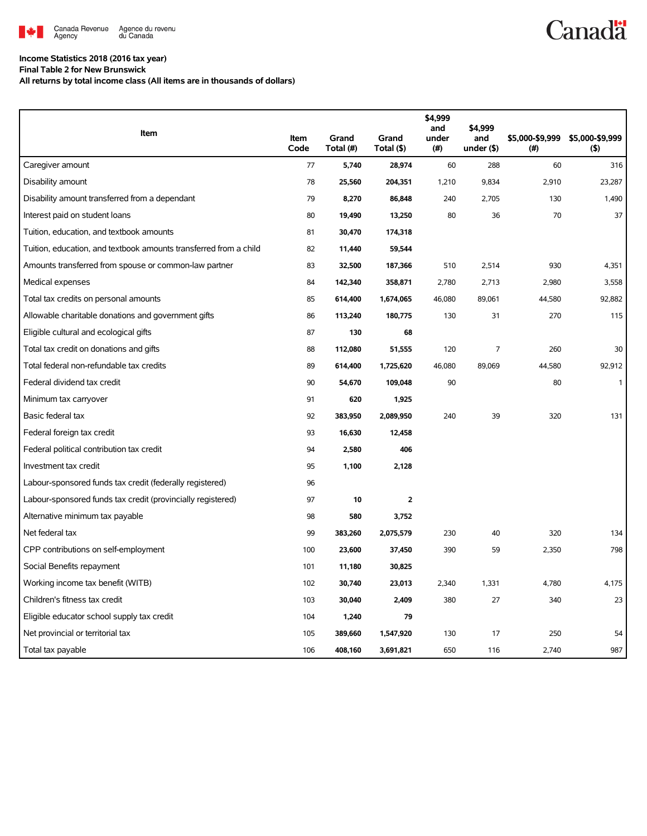

## **Income Statistics 2018 (2016 tax year)**

**Final Table 2 for New Brunswick**

**All returns by total income class (All items are in thousands of dollars)**

| Item                                                              |              |                    |                     | \$4,999<br>and | \$4,999              |                        |                        |
|-------------------------------------------------------------------|--------------|--------------------|---------------------|----------------|----------------------|------------------------|------------------------|
|                                                                   | Item<br>Code | Grand<br>Total (#) | Grand<br>Total (\$) | under<br>(#)   | and<br>under $($ \$) | \$5,000-\$9,999<br>(#) | \$5,000-\$9,999<br>(5) |
| Caregiver amount                                                  | 77           | 5,740              | 28,974              | 60             | 288                  | 60                     | 316                    |
| Disability amount                                                 | 78           | 25,560             | 204,351             | 1,210          | 9,834                | 2,910                  | 23,287                 |
| Disability amount transferred from a dependant                    | 79           | 8,270              | 86,848              | 240            | 2,705                | 130                    | 1,490                  |
| Interest paid on student loans                                    | 80           | 19,490             | 13,250              | 80             | 36                   | 70                     | 37                     |
| Tuition, education, and textbook amounts                          | 81           | 30,470             | 174,318             |                |                      |                        |                        |
| Tuition, education, and textbook amounts transferred from a child | 82           | 11,440             | 59,544              |                |                      |                        |                        |
| Amounts transferred from spouse or common-law partner             | 83           | 32,500             | 187,366             | 510            | 2,514                | 930                    | 4,351                  |
| Medical expenses                                                  | 84           | 142,340            | 358,871             | 2,780          | 2,713                | 2,980                  | 3,558                  |
| Total tax credits on personal amounts                             | 85           | 614,400            | 1,674,065           | 46,080         | 89,061               | 44,580                 | 92,882                 |
| Allowable charitable donations and government gifts               | 86           | 113,240            | 180,775             | 130            | 31                   | 270                    | 115                    |
| Eligible cultural and ecological gifts                            | 87           | 130                | 68                  |                |                      |                        |                        |
| Total tax credit on donations and gifts                           | 88           | 112,080            | 51,555              | 120            | 7                    | 260                    | 30                     |
| Total federal non-refundable tax credits                          | 89           | 614,400            | 1,725,620           | 46,080         | 89,069               | 44,580                 | 92,912                 |
| Federal dividend tax credit                                       | 90           | 54,670             | 109,048             | 90             |                      | 80                     | $\mathbf{1}$           |
| Minimum tax carryover                                             | 91           | 620                | 1,925               |                |                      |                        |                        |
| Basic federal tax                                                 | 92           | 383,950            | 2,089,950           | 240            | 39                   | 320                    | 131                    |
| Federal foreign tax credit                                        | 93           | 16,630             | 12,458              |                |                      |                        |                        |
| Federal political contribution tax credit                         | 94           | 2,580              | 406                 |                |                      |                        |                        |
| Investment tax credit                                             | 95           | 1,100              | 2,128               |                |                      |                        |                        |
| Labour-sponsored funds tax credit (federally registered)          | 96           |                    |                     |                |                      |                        |                        |
| Labour-sponsored funds tax credit (provincially registered)       | 97           | 10                 | $\overline{2}$      |                |                      |                        |                        |
| Alternative minimum tax payable                                   | 98           | 580                | 3,752               |                |                      |                        |                        |
| Net federal tax                                                   | 99           | 383,260            | 2,075,579           | 230            | 40                   | 320                    | 134                    |
| CPP contributions on self-employment                              | 100          | 23,600             | 37,450              | 390            | 59                   | 2,350                  | 798                    |
| Social Benefits repayment                                         | 101          | 11,180             | 30,825              |                |                      |                        |                        |
| Working income tax benefit (WITB)                                 | 102          | 30,740             | 23,013              | 2,340          | 1,331                | 4,780                  | 4,175                  |
| Children's fitness tax credit                                     | 103          | 30,040             | 2,409               | 380            | 27                   | 340                    | 23                     |
| Eligible educator school supply tax credit                        | 104          | 1,240              | 79                  |                |                      |                        |                        |
| Net provincial or territorial tax                                 | 105          | 389,660            | 1,547,920           | 130            | 17                   | 250                    | 54                     |
| Total tax payable                                                 | 106          | 408,160            | 3,691,821           | 650            | 116                  | 2,740                  | 987                    |

**Canadä**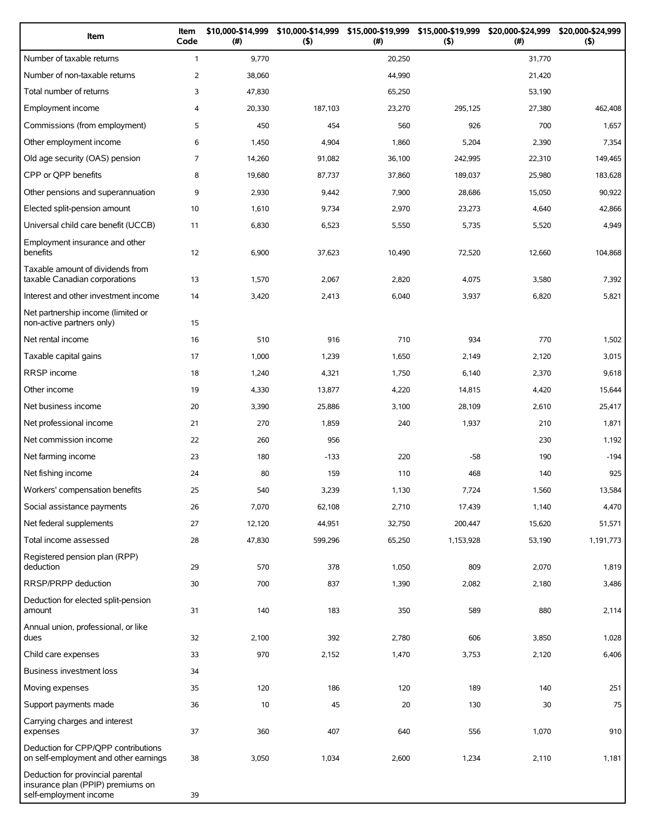| Item                                                                                             | Item<br>Code   | \$10,000-\$14,999<br>(#) | \$10,000-\$14,999<br>(5) | \$15,000-\$19,999<br>(# ) | \$15,000-\$19,999<br>(5) | \$20,000-\$24,999<br>(#) | \$20,000-\$24,999<br>(5) |
|--------------------------------------------------------------------------------------------------|----------------|--------------------------|--------------------------|---------------------------|--------------------------|--------------------------|--------------------------|
| Number of taxable returns                                                                        | $\mathbf{1}$   | 9,770                    |                          | 20,250                    |                          | 31,770                   |                          |
| Number of non-taxable returns                                                                    | $\overline{2}$ | 38,060                   |                          | 44,990                    |                          | 21,420                   |                          |
| Total number of returns                                                                          | 3              | 47,830                   |                          | 65,250                    |                          | 53,190                   |                          |
| Employment income                                                                                | 4              | 20,330                   | 187,103                  | 23,270                    | 295,125                  | 27,380                   | 462,408                  |
| Commissions (from employment)                                                                    | 5              | 450                      | 454                      | 560                       | 926                      | 700                      | 1,657                    |
| Other employment income                                                                          | 6              | 1,450                    | 4,904                    | 1,860                     | 5,204                    | 2,390                    | 7,354                    |
| Old age security (OAS) pension                                                                   | $\overline{7}$ | 14,260                   | 91,082                   | 36,100                    | 242,995                  | 22,310                   | 149,465                  |
| CPP or QPP benefits                                                                              | 8              | 19,680                   | 87,737                   | 37,860                    | 189,037                  | 25,980                   | 183,628                  |
| Other pensions and superannuation                                                                | 9              | 2,930                    | 9,442                    | 7,900                     | 28,686                   | 15,050                   | 90,922                   |
| Elected split-pension amount                                                                     | 10             | 1,610                    | 9,734                    | 2,970                     | 23,273                   | 4,640                    | 42,866                   |
| Universal child care benefit (UCCB)                                                              | 11             | 6,830                    | 6,523                    | 5,550                     | 5,735                    | 5,520                    | 4,949                    |
| Employment insurance and other<br>benefits                                                       | 12             | 6,900                    | 37,623                   | 10,490                    | 72,520                   | 12,660                   | 104,868                  |
| Taxable amount of dividends from<br>taxable Canadian corporations                                | 13             | 1,570                    | 2,067                    | 2,820                     | 4,075                    | 3,580                    | 7,392                    |
| Interest and other investment income                                                             | 14             | 3,420                    | 2,413                    | 6,040                     | 3,937                    | 6,820                    | 5,821                    |
| Net partnership income (limited or<br>non-active partners only)                                  | 15             |                          |                          |                           |                          |                          |                          |
| Net rental income                                                                                | 16             | 510                      | 916                      | 710                       | 934                      | 770                      | 1,502                    |
| Taxable capital gains                                                                            | 17             | 1,000                    | 1,239                    | 1,650                     | 2,149                    | 2,120                    | 3,015                    |
| <b>RRSP</b> income                                                                               | 18             | 1,240                    | 4,321                    | 1,750                     | 6,140                    | 2,370                    | 9,618                    |
| Other income                                                                                     | 19             | 4,330                    | 13,877                   | 4,220                     | 14,815                   | 4,420                    | 15,644                   |
| Net business income                                                                              | 20             | 3,390                    | 25,886                   | 3,100                     | 28,109                   | 2,610                    | 25,417                   |
| Net professional income                                                                          | 21             | 270                      | 1,859                    | 240                       | 1,937                    | 210                      | 1,871                    |
| Net commission income                                                                            | 22             | 260                      | 956                      |                           |                          | 230                      | 1,192                    |
| Net farming income                                                                               | 23             | 180                      | $-133$                   | 220                       | $-58$                    | 190                      | $-194$                   |
| Net fishing income                                                                               | 24             | 80                       | 159                      | 110                       | 468                      | 140                      | 925                      |
| Workers' compensation benefits                                                                   | 25             | 540                      | 3,239                    | 1,130                     | 7,724                    | 1,560                    | 13,584                   |
| Social assistance payments                                                                       | 26             | 7,070                    | 62,108                   | 2,710                     | 17,439                   | 1,140                    | 4,470                    |
| Net federal supplements                                                                          | 27             | 12,120                   | 44,951                   | 32,750                    | 200,447                  | 15,620                   | 51,571                   |
| Total income assessed                                                                            | 28             | 47,830                   | 599,296                  | 65,250                    | 1,153,928                | 53,190                   | 1,191,773                |
| Registered pension plan (RPP)<br>deduction                                                       | 29             | 570                      | 378                      | 1,050                     | 809                      | 2,070                    | 1,819                    |
| RRSP/PRPP deduction                                                                              | 30             | 700                      | 837                      | 1,390                     | 2,082                    | 2,180                    | 3,486                    |
| Deduction for elected split-pension<br>amount                                                    | 31             | 140                      | 183                      | 350                       | 589                      | 880                      | 2,114                    |
| Annual union, professional, or like<br>dues                                                      | 32             | 2,100                    | 392                      | 2,780                     | 606                      | 3,850                    | 1,028                    |
| Child care expenses                                                                              | 33             | 970                      | 2,152                    | 1,470                     | 3,753                    | 2,120                    | 6,406                    |
| Business investment loss                                                                         | 34             |                          |                          |                           |                          |                          |                          |
| Moving expenses                                                                                  | 35             | 120                      | 186                      | 120                       | 189                      | 140                      | 251                      |
| Support payments made                                                                            | 36             | 10                       | 45                       | 20                        | 130                      | 30                       | 75                       |
| Carrying charges and interest<br>expenses                                                        | 37             | 360                      | 407                      | 640                       | 556                      | 1,070                    | 910                      |
| Deduction for CPP/QPP contributions<br>on self-employment and other earnings                     | 38             | 3,050                    | 1,034                    | 2,600                     | 1,234                    | 2,110                    | 1,181                    |
| Deduction for provincial parental<br>insurance plan (PPIP) premiums on<br>self-employment income | 39             |                          |                          |                           |                          |                          |                          |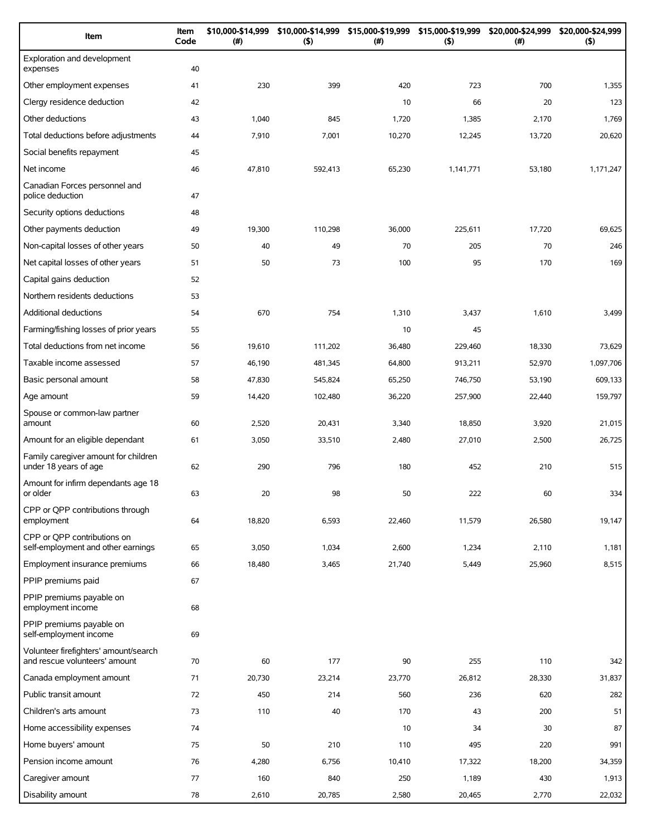| Item                                                                   | Item<br>Code | \$10,000-\$14,999<br>(#) | \$10,000-\$14,999<br>$($ \$) | \$15,000-\$19,999<br>(# ) | \$15,000-\$19,999<br>(5) | \$20,000-\$24,999<br>$(\#)$ | \$20,000-\$24,999<br>(5) |
|------------------------------------------------------------------------|--------------|--------------------------|------------------------------|---------------------------|--------------------------|-----------------------------|--------------------------|
| Exploration and development<br>expenses                                | 40           |                          |                              |                           |                          |                             |                          |
| Other employment expenses                                              | 41           | 230                      | 399                          | 420                       | 723                      | 700                         | 1,355                    |
| Clergy residence deduction                                             | 42           |                          |                              | 10                        | 66                       | 20                          | 123                      |
| Other deductions                                                       | 43           | 1,040                    | 845                          | 1,720                     | 1,385                    | 2,170                       | 1,769                    |
| Total deductions before adjustments                                    | 44           | 7,910                    | 7,001                        | 10,270                    | 12,245                   | 13,720                      | 20,620                   |
| Social benefits repayment                                              | 45           |                          |                              |                           |                          |                             |                          |
| Net income                                                             | 46           | 47,810                   | 592,413                      | 65,230                    | 1,141,771                | 53,180                      | 1,171,247                |
| Canadian Forces personnel and<br>police deduction                      | 47           |                          |                              |                           |                          |                             |                          |
| Security options deductions                                            | 48           |                          |                              |                           |                          |                             |                          |
| Other payments deduction                                               | 49           | 19,300                   | 110,298                      | 36,000                    | 225,611                  | 17,720                      | 69,625                   |
| Non-capital losses of other years                                      | 50           | 40                       | 49                           | 70                        | 205                      | 70                          | 246                      |
| Net capital losses of other years                                      | 51           | 50                       | 73                           | 100                       | 95                       | 170                         | 169                      |
| Capital gains deduction                                                | 52           |                          |                              |                           |                          |                             |                          |
| Northern residents deductions                                          | 53           |                          |                              |                           |                          |                             |                          |
| Additional deductions                                                  | 54           | 670                      | 754                          | 1,310                     | 3,437                    | 1,610                       | 3,499                    |
| Farming/fishing losses of prior years                                  | 55           |                          |                              | 10                        | 45                       |                             |                          |
| Total deductions from net income                                       | 56           | 19,610                   | 111,202                      | 36,480                    | 229,460                  | 18,330                      | 73,629                   |
| Taxable income assessed                                                | 57           | 46,190                   | 481,345                      | 64,800                    | 913,211                  | 52,970                      | 1,097,706                |
| Basic personal amount                                                  | 58           | 47,830                   | 545,824                      | 65,250                    | 746,750                  | 53,190                      | 609,133                  |
| Age amount                                                             | 59           | 14,420                   | 102,480                      | 36,220                    | 257,900                  | 22,440                      | 159,797                  |
| Spouse or common-law partner<br>amount                                 | 60           | 2,520                    | 20,431                       | 3,340                     | 18,850                   | 3,920                       | 21,015                   |
| Amount for an eligible dependant                                       | 61           | 3,050                    | 33,510                       | 2,480                     | 27,010                   | 2,500                       | 26,725                   |
| Family caregiver amount for children<br>under 18 years of age          | 62           | 290                      | 796                          | 180                       | 452                      | 210                         | 515                      |
| Amount for infirm dependants age 18<br>or older                        | 63           | 20                       | 98                           | 50                        | 222                      | 60                          | 334                      |
| CPP or QPP contributions through<br>employment                         | 64           | 18,820                   | 6,593                        | 22,460                    | 11,579                   | 26,580                      | 19,147                   |
| CPP or OPP contributions on<br>self-employment and other earnings      | 65           | 3,050                    | 1,034                        | 2,600                     | 1,234                    | 2,110                       | 1,181                    |
| Employment insurance premiums                                          | 66           | 18,480                   | 3,465                        | 21,740                    | 5,449                    | 25,960                      | 8,515                    |
| PPIP premiums paid                                                     | 67           |                          |                              |                           |                          |                             |                          |
| PPIP premiums payable on<br>employment income                          | 68           |                          |                              |                           |                          |                             |                          |
| PPIP premiums payable on<br>self-employment income                     | 69           |                          |                              |                           |                          |                             |                          |
| Volunteer firefighters' amount/search<br>and rescue volunteers' amount | 70           | 60                       | 177                          | 90                        | 255                      | 110                         | 342                      |
| Canada employment amount                                               | 71           | 20,730                   | 23,214                       | 23,770                    | 26,812                   | 28,330                      | 31,837                   |
| Public transit amount                                                  | 72           | 450                      | 214                          | 560                       | 236                      | 620                         | 282                      |
| Children's arts amount                                                 | 73           | 110                      | 40                           | 170                       | 43                       | 200                         | 51                       |
| Home accessibility expenses                                            | 74           |                          |                              | 10                        | 34                       | 30                          | 87                       |
| Home buyers' amount                                                    | 75           | 50                       | 210                          | 110                       | 495                      | 220                         | 991                      |
| Pension income amount                                                  | 76           | 4,280                    | 6,756                        | 10,410                    | 17,322                   | 18,200                      | 34,359                   |
| Caregiver amount                                                       | 77           | 160                      | 840                          | 250                       | 1,189                    | 430                         | 1,913                    |
| Disability amount                                                      | 78           | 2,610                    | 20,785                       | 2,580                     | 20,465                   | 2,770                       | 22,032                   |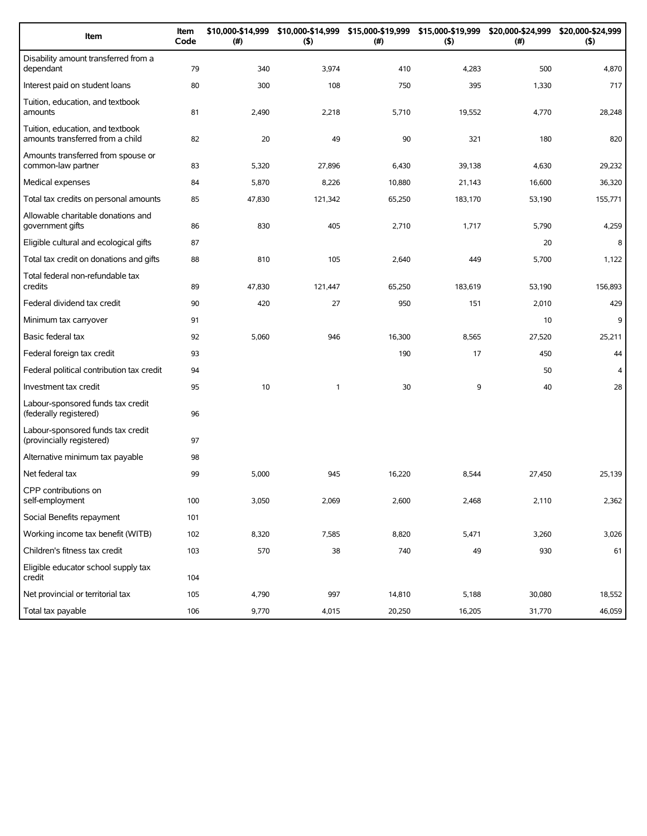| Item                                                                 | Item<br>Code | \$10,000-\$14,999<br>(#) | (5)     | \$10,000-\$14,999 \$15,000-\$19,999 \$15,000-\$19,999<br>(# ) | (5)     | \$20,000-\$24,999<br>(#) | \$20,000-\$24,999<br>(5) |
|----------------------------------------------------------------------|--------------|--------------------------|---------|---------------------------------------------------------------|---------|--------------------------|--------------------------|
| Disability amount transferred from a<br>dependant                    | 79           | 340                      | 3,974   | 410                                                           | 4,283   | 500                      | 4,870                    |
| Interest paid on student loans                                       | 80           | 300                      | 108     | 750                                                           | 395     | 1,330                    | 717                      |
| Tuition, education, and textbook<br>amounts                          | 81           | 2,490                    | 2,218   | 5,710                                                         | 19,552  | 4,770                    | 28,248                   |
| Tuition, education, and textbook<br>amounts transferred from a child | 82           | 20                       | 49      | 90                                                            | 321     | 180                      | 820                      |
| Amounts transferred from spouse or<br>common-law partner             | 83           | 5,320                    | 27,896  | 6,430                                                         | 39,138  | 4,630                    | 29,232                   |
| Medical expenses                                                     | 84           | 5,870                    | 8,226   | 10,880                                                        | 21,143  | 16,600                   | 36,320                   |
| Total tax credits on personal amounts                                | 85           | 47,830                   | 121,342 | 65,250                                                        | 183,170 | 53,190                   | 155,771                  |
| Allowable charitable donations and<br>government gifts               | 86           | 830                      | 405     | 2,710                                                         | 1,717   | 5,790                    | 4,259                    |
| Eligible cultural and ecological gifts                               | 87           |                          |         |                                                               |         | 20                       | 8                        |
| Total tax credit on donations and gifts                              | 88           | 810                      | 105     | 2,640                                                         | 449     | 5,700                    | 1,122                    |
| Total federal non-refundable tax<br>credits                          | 89           | 47,830                   | 121,447 | 65,250                                                        | 183.619 | 53,190                   | 156,893                  |
| Federal dividend tax credit                                          | 90           | 420                      | 27      | 950                                                           | 151     | 2,010                    | 429                      |
| Minimum tax carryover                                                | 91           |                          |         |                                                               |         | 10                       | 9                        |
| Basic federal tax                                                    | 92           | 5,060                    | 946     | 16,300                                                        | 8,565   | 27,520                   | 25,211                   |
| Federal foreign tax credit                                           | 93           |                          |         | 190                                                           | 17      | 450                      | 44                       |
| Federal political contribution tax credit                            | 94           |                          |         |                                                               |         | 50                       | $\overline{4}$           |
| Investment tax credit                                                | 95           | 10                       | 1       | 30                                                            | 9       | 40                       | 28                       |
| Labour-sponsored funds tax credit<br>(federally registered)          | 96           |                          |         |                                                               |         |                          |                          |
| Labour-sponsored funds tax credit<br>(provincially registered)       | 97           |                          |         |                                                               |         |                          |                          |
| Alternative minimum tax payable                                      | 98           |                          |         |                                                               |         |                          |                          |
| Net federal tax                                                      | 99           | 5,000                    | 945     | 16,220                                                        | 8,544   | 27,450                   | 25,139                   |
| CPP contributions on<br>self-employment                              | 100          | 3,050                    | 2,069   | 2,600                                                         | 2,468   | 2,110                    | 2,362                    |
| Social Benefits repayment                                            | 101          |                          |         |                                                               |         |                          |                          |
| Working income tax benefit (WITB)                                    | 102          | 8,320                    | 7,585   | 8,820                                                         | 5,471   | 3,260                    | 3,026                    |
| Children's fitness tax credit                                        | 103          | 570                      | 38      | 740                                                           | 49      | 930                      | 61                       |
| Eligible educator school supply tax<br>credit                        | 104          |                          |         |                                                               |         |                          |                          |
| Net provincial or territorial tax                                    | 105          | 4,790                    | 997     | 14,810                                                        | 5,188   | 30,080                   | 18,552                   |
| Total tax payable                                                    | 106          | 9,770                    | 4,015   | 20,250                                                        | 16,205  | 31,770                   | 46,059                   |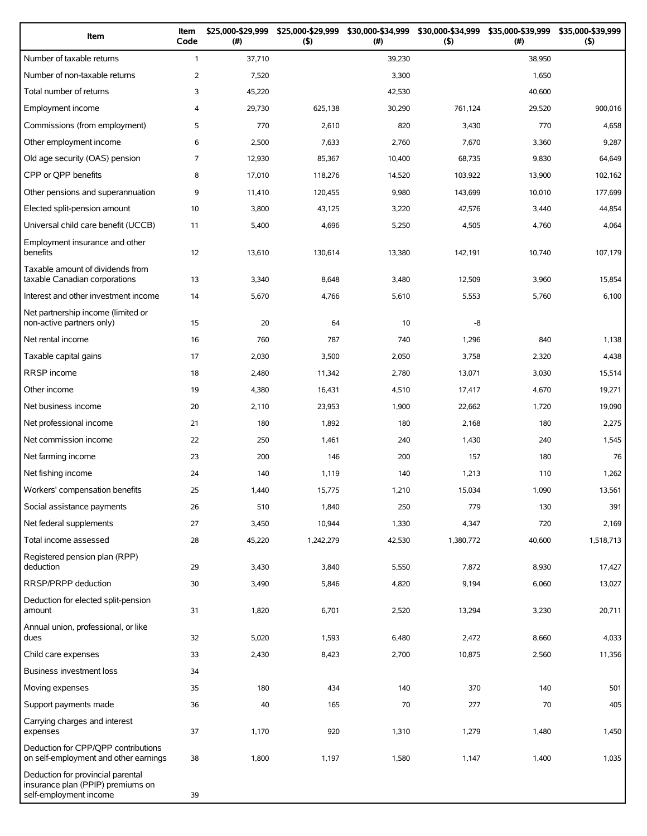| Item                                                                                             | Item<br>Code   | \$25,000-\$29,999<br>(#) | \$25,000-\$29,999<br>(5) | \$30,000-\$34,999<br>(# ) | \$30,000-\$34,999<br>(5) | \$35,000-\$39,999<br>(#) | \$35,000-\$39,999<br>(5) |
|--------------------------------------------------------------------------------------------------|----------------|--------------------------|--------------------------|---------------------------|--------------------------|--------------------------|--------------------------|
| Number of taxable returns                                                                        | $\mathbf{1}$   | 37,710                   |                          | 39,230                    |                          | 38,950                   |                          |
| Number of non-taxable returns                                                                    | $\overline{2}$ | 7,520                    |                          | 3,300                     |                          | 1,650                    |                          |
| Total number of returns                                                                          | 3              | 45,220                   |                          | 42,530                    |                          | 40,600                   |                          |
| Employment income                                                                                | 4              | 29,730                   | 625,138                  | 30,290                    | 761,124                  | 29,520                   | 900,016                  |
| Commissions (from employment)                                                                    | 5              | 770                      | 2,610                    | 820                       | 3,430                    | 770                      | 4,658                    |
| Other employment income                                                                          | 6              | 2,500                    | 7,633                    | 2,760                     | 7,670                    | 3,360                    | 9,287                    |
| Old age security (OAS) pension                                                                   | $\overline{7}$ | 12,930                   | 85,367                   | 10,400                    | 68,735                   | 9,830                    | 64,649                   |
| CPP or QPP benefits                                                                              | 8              | 17,010                   | 118,276                  | 14,520                    | 103,922                  | 13,900                   | 102,162                  |
| Other pensions and superannuation                                                                | 9              | 11,410                   | 120,455                  | 9,980                     | 143,699                  | 10,010                   | 177,699                  |
| Elected split-pension amount                                                                     | 10             | 3,800                    | 43,125                   | 3,220                     | 42,576                   | 3,440                    | 44,854                   |
| Universal child care benefit (UCCB)                                                              | 11             | 5,400                    | 4,696                    | 5,250                     | 4,505                    | 4,760                    | 4,064                    |
| Employment insurance and other<br>benefits                                                       | 12             | 13,610                   | 130,614                  | 13,380                    | 142,191                  | 10,740                   | 107,179                  |
| Taxable amount of dividends from<br>taxable Canadian corporations                                | 13             | 3,340                    | 8,648                    | 3,480                     | 12,509                   | 3,960                    | 15,854                   |
| Interest and other investment income                                                             | 14             | 5,670                    | 4,766                    | 5,610                     | 5,553                    | 5,760                    | 6,100                    |
| Net partnership income (limited or<br>non-active partners only)                                  | 15             | 20                       | 64                       | 10                        | -8                       |                          |                          |
| Net rental income                                                                                | 16             | 760                      | 787                      | 740                       | 1,296                    | 840                      | 1,138                    |
| Taxable capital gains                                                                            | 17             | 2,030                    | 3,500                    | 2,050                     | 3,758                    | 2,320                    | 4,438                    |
| <b>RRSP</b> income                                                                               | 18             | 2,480                    | 11,342                   | 2,780                     | 13,071                   | 3,030                    | 15,514                   |
| Other income                                                                                     | 19             | 4,380                    | 16,431                   | 4,510                     | 17,417                   | 4,670                    | 19,271                   |
| Net business income                                                                              | 20             | 2,110                    | 23,953                   | 1,900                     | 22,662                   | 1,720                    | 19,090                   |
| Net professional income                                                                          | 21             | 180                      | 1,892                    | 180                       | 2,168                    | 180                      | 2,275                    |
| Net commission income                                                                            | 22             | 250                      | 1,461                    | 240                       | 1,430                    | 240                      | 1,545                    |
| Net farming income                                                                               | 23             | 200                      | 146                      | 200                       | 157                      | 180                      | 76                       |
| Net fishing income                                                                               | 24             | 140                      | 1,119                    | 140                       | 1,213                    | 110                      | 1,262                    |
| Workers' compensation benefits                                                                   | 25             | 1,440                    | 15,775                   | 1,210                     | 15,034                   | 1,090                    | 13,561                   |
| Social assistance payments                                                                       | 26             | 510                      | 1,840                    | 250                       | 779                      | 130                      | 391                      |
| Net federal supplements                                                                          | 27             | 3,450                    | 10,944                   | 1,330                     | 4,347                    | 720                      | 2,169                    |
| Total income assessed                                                                            | 28             | 45,220                   | 1,242,279                | 42,530                    | 1,380,772                | 40,600                   | 1,518,713                |
| Registered pension plan (RPP)<br>deduction                                                       | 29             | 3,430                    | 3,840                    | 5,550                     | 7,872                    | 8,930                    | 17,427                   |
| RRSP/PRPP deduction                                                                              | 30             | 3,490                    | 5,846                    | 4,820                     | 9,194                    | 6,060                    | 13,027                   |
| Deduction for elected split-pension<br>amount                                                    | 31             | 1,820                    | 6,701                    | 2,520                     | 13,294                   | 3,230                    | 20,711                   |
| Annual union, professional, or like<br>dues                                                      | 32             | 5,020                    | 1,593                    | 6,480                     | 2,472                    | 8,660                    | 4,033                    |
| Child care expenses                                                                              | 33             | 2,430                    | 8,423                    | 2,700                     | 10,875                   | 2,560                    | 11,356                   |
| Business investment loss                                                                         | 34             |                          |                          |                           |                          |                          |                          |
| Moving expenses                                                                                  | 35             | 180                      | 434                      | 140                       | 370                      | 140                      | 501                      |
| Support payments made                                                                            | 36             | 40                       | 165                      | 70                        | 277                      | 70                       | 405                      |
| Carrying charges and interest<br>expenses                                                        | 37             | 1,170                    | 920                      | 1,310                     | 1,279                    | 1,480                    | 1,450                    |
| Deduction for CPP/QPP contributions<br>on self-employment and other earnings                     | 38             | 1,800                    | 1,197                    | 1,580                     | 1,147                    | 1,400                    | 1,035                    |
| Deduction for provincial parental<br>insurance plan (PPIP) premiums on<br>self-employment income | 39             |                          |                          |                           |                          |                          |                          |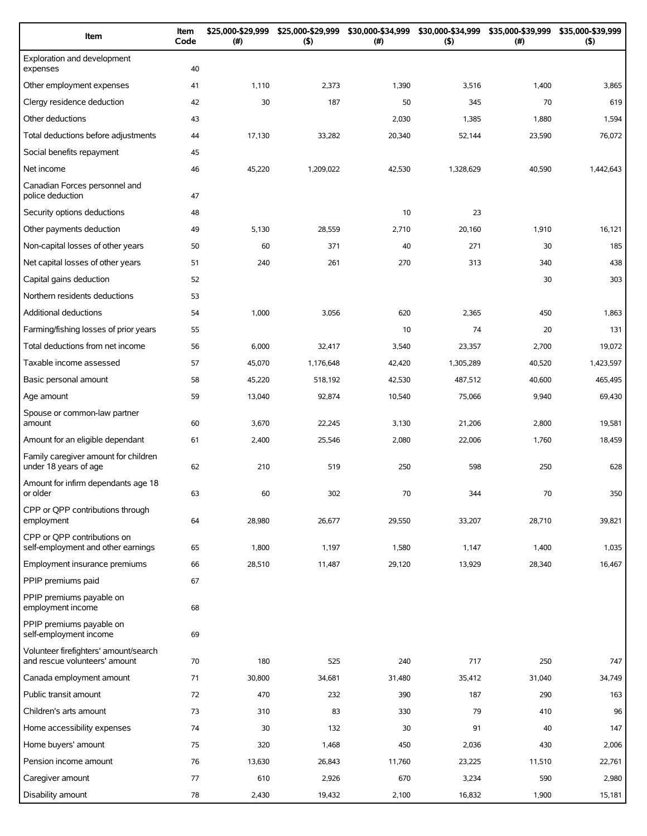| Item                                                                   | Item<br>Code | \$25,000-\$29,999<br>(#) | \$25,000-\$29,999<br>(5) | \$30,000-\$34,999<br>(# ) | \$30,000-\$34,999<br>(5) | \$35,000-\$39,999<br>$(\#)$ | \$35,000-\$39,999<br>(5) |
|------------------------------------------------------------------------|--------------|--------------------------|--------------------------|---------------------------|--------------------------|-----------------------------|--------------------------|
| Exploration and development<br>expenses                                | 40           |                          |                          |                           |                          |                             |                          |
| Other employment expenses                                              | 41           | 1,110                    | 2,373                    | 1,390                     | 3,516                    | 1,400                       | 3,865                    |
| Clergy residence deduction                                             | 42           | 30                       | 187                      | 50                        | 345                      | 70                          | 619                      |
| Other deductions                                                       | 43           |                          |                          | 2,030                     | 1,385                    | 1,880                       | 1,594                    |
| Total deductions before adjustments                                    | 44           | 17,130                   | 33,282                   | 20,340                    | 52,144                   | 23,590                      | 76,072                   |
| Social benefits repayment                                              | 45           |                          |                          |                           |                          |                             |                          |
| Net income                                                             | 46           | 45,220                   | 1,209,022                | 42,530                    | 1,328,629                | 40,590                      | 1,442,643                |
| Canadian Forces personnel and<br>police deduction                      | 47           |                          |                          |                           |                          |                             |                          |
| Security options deductions                                            | 48           |                          |                          | 10                        | 23                       |                             |                          |
| Other payments deduction                                               | 49           | 5,130                    | 28,559                   | 2,710                     | 20,160                   | 1,910                       | 16,121                   |
| Non-capital losses of other years                                      | 50           | 60                       | 371                      | 40                        | 271                      | 30                          | 185                      |
| Net capital losses of other years                                      | 51           | 240                      | 261                      | 270                       | 313                      | 340                         | 438                      |
| Capital gains deduction                                                | 52           |                          |                          |                           |                          | 30                          | 303                      |
| Northern residents deductions                                          | 53           |                          |                          |                           |                          |                             |                          |
| Additional deductions                                                  | 54           | 1,000                    | 3,056                    | 620                       | 2,365                    | 450                         | 1,863                    |
| Farming/fishing losses of prior years                                  | 55           |                          |                          | 10                        | 74                       | 20                          | 131                      |
| Total deductions from net income                                       | 56           | 6,000                    | 32,417                   | 3,540                     | 23,357                   | 2,700                       | 19,072                   |
| Taxable income assessed                                                | 57           | 45,070                   | 1,176,648                | 42,420                    | 1,305,289                | 40,520                      | 1,423,597                |
| Basic personal amount                                                  | 58           | 45,220                   | 518,192                  | 42,530                    | 487,512                  | 40,600                      | 465,495                  |
| Age amount                                                             | 59           | 13,040                   | 92,874                   | 10,540                    | 75,066                   | 9,940                       | 69,430                   |
| Spouse or common-law partner<br>amount                                 | 60           | 3,670                    | 22,245                   | 3,130                     | 21,206                   | 2,800                       | 19,581                   |
| Amount for an eligible dependant                                       | 61           | 2,400                    | 25,546                   | 2,080                     | 22,006                   | 1,760                       | 18,459                   |
| Family caregiver amount for children<br>under 18 years of age          | 62           | 210                      | 519                      | 250                       | 598                      | 250                         | 628                      |
| Amount for infirm dependants age 18<br>or older                        | 63           | 60                       | 302                      | 70                        | 344                      | 70                          | 350                      |
| CPP or QPP contributions through<br>employment                         | 64           | 28,980                   | 26,677                   | 29,550                    | 33,207                   | 28,710                      | 39,821                   |
| CPP or OPP contributions on<br>self-employment and other earnings      | 65           | 1,800                    | 1,197                    | 1,580                     | 1,147                    | 1,400                       | 1,035                    |
| Employment insurance premiums                                          | 66           | 28,510                   | 11,487                   | 29,120                    | 13,929                   | 28,340                      | 16,467                   |
| PPIP premiums paid                                                     | 67           |                          |                          |                           |                          |                             |                          |
| PPIP premiums payable on<br>employment income                          | 68           |                          |                          |                           |                          |                             |                          |
| PPIP premiums payable on<br>self-employment income                     | 69           |                          |                          |                           |                          |                             |                          |
| Volunteer firefighters' amount/search<br>and rescue volunteers' amount | 70           | 180                      | 525                      | 240                       | 717                      | 250                         | 747                      |
| Canada employment amount                                               | 71           | 30,800                   | 34,681                   | 31,480                    | 35,412                   | 31,040                      | 34,749                   |
| Public transit amount                                                  | 72           | 470                      | 232                      | 390                       | 187                      | 290                         | 163                      |
| Children's arts amount                                                 | 73           | 310                      | 83                       | 330                       | 79                       | 410                         | 96                       |
| Home accessibility expenses                                            | 74           | 30                       | 132                      | 30                        | 91                       | 40                          | 147                      |
| Home buyers' amount                                                    | 75           | 320                      | 1,468                    | 450                       | 2,036                    | 430                         | 2,006                    |
| Pension income amount                                                  | 76           | 13,630                   | 26,843                   | 11,760                    | 23,225                   | 11,510                      | 22,761                   |
| Caregiver amount                                                       | 77           | 610                      | 2,926                    | 670                       | 3,234                    | 590                         | 2,980                    |
| Disability amount                                                      | 78           | 2,430                    | 19,432                   | 2,100                     | 16,832                   | 1,900                       | 15,181                   |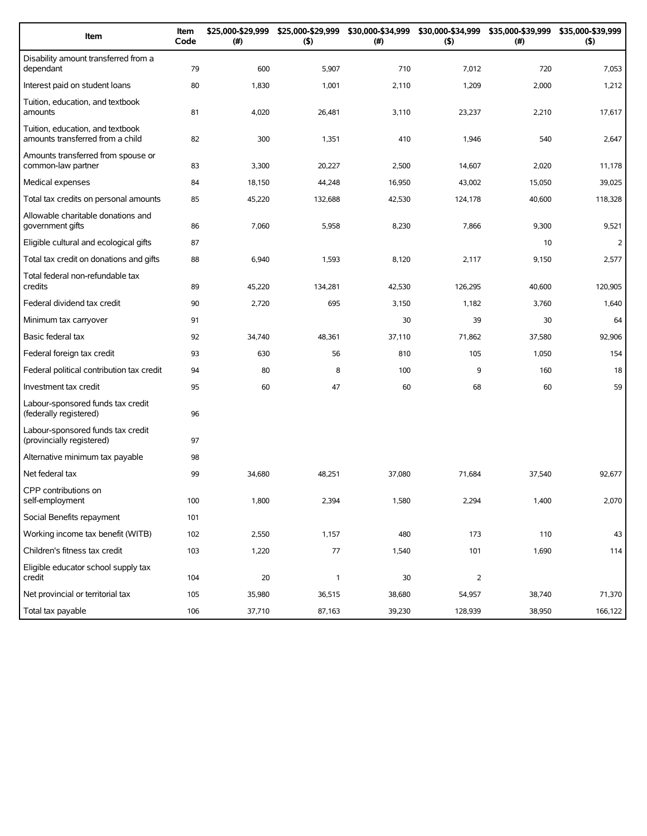| Item                                                                 | Item<br>Code | \$25,000-\$29,999<br>(#) | \$25,000-\$29,999<br>(5) | \$30,000-\$34,999<br>(# ) | \$30,000-\$34,999<br>(5) | \$35,000-\$39,999<br>(#) | \$35,000-\$39,999<br>(5) |
|----------------------------------------------------------------------|--------------|--------------------------|--------------------------|---------------------------|--------------------------|--------------------------|--------------------------|
| Disability amount transferred from a<br>dependant                    | 79           | 600                      | 5,907                    | 710                       | 7,012                    | 720                      | 7,053                    |
| Interest paid on student loans                                       | 80           | 1,830                    | 1,001                    | 2,110                     | 1,209                    | 2,000                    | 1,212                    |
| Tuition, education, and textbook<br>amounts                          | 81           | 4,020                    | 26,481                   | 3,110                     | 23,237                   | 2,210                    | 17,617                   |
| Tuition, education, and textbook<br>amounts transferred from a child | 82           | 300                      | 1,351                    | 410                       | 1,946                    | 540                      | 2,647                    |
| Amounts transferred from spouse or<br>common-law partner             | 83           | 3,300                    | 20,227                   | 2,500                     | 14,607                   | 2,020                    | 11,178                   |
| Medical expenses                                                     | 84           | 18,150                   | 44,248                   | 16,950                    | 43,002                   | 15,050                   | 39,025                   |
| Total tax credits on personal amounts                                | 85           | 45,220                   | 132,688                  | 42,530                    | 124,178                  | 40,600                   | 118,328                  |
| Allowable charitable donations and<br>government gifts               | 86           | 7,060                    | 5,958                    | 8,230                     | 7,866                    | 9,300                    | 9,521                    |
| Eligible cultural and ecological gifts                               | 87           |                          |                          |                           |                          | 10                       | $\overline{2}$           |
| Total tax credit on donations and gifts                              | 88           | 6,940                    | 1,593                    | 8,120                     | 2,117                    | 9,150                    | 2,577                    |
| Total federal non-refundable tax<br>credits                          | 89           | 45,220                   | 134,281                  | 42,530                    | 126.295                  | 40,600                   | 120,905                  |
| Federal dividend tax credit                                          | 90           | 2,720                    | 695                      | 3,150                     | 1,182                    | 3,760                    | 1,640                    |
| Minimum tax carryover                                                | 91           |                          |                          | 30                        | 39                       | 30                       | 64                       |
| Basic federal tax                                                    | 92           | 34,740                   | 48,361                   | 37,110                    | 71,862                   | 37,580                   | 92,906                   |
| Federal foreign tax credit                                           | 93           | 630                      | 56                       | 810                       | 105                      | 1,050                    | 154                      |
| Federal political contribution tax credit                            | 94           | 80                       | 8                        | 100                       | 9                        | 160                      | 18                       |
| Investment tax credit                                                | 95           | 60                       | 47                       | 60                        | 68                       | 60                       | 59                       |
| Labour-sponsored funds tax credit<br>(federally registered)          | 96           |                          |                          |                           |                          |                          |                          |
| Labour-sponsored funds tax credit<br>(provincially registered)       | 97           |                          |                          |                           |                          |                          |                          |
| Alternative minimum tax payable                                      | 98           |                          |                          |                           |                          |                          |                          |
| Net federal tax                                                      | 99           | 34,680                   | 48,251                   | 37,080                    | 71,684                   | 37,540                   | 92,677                   |
| CPP contributions on<br>self-employment                              | 100          | 1,800                    | 2,394                    | 1,580                     | 2,294                    | 1,400                    | 2,070                    |
| Social Benefits repayment                                            | 101          |                          |                          |                           |                          |                          |                          |
| Working income tax benefit (WITB)                                    | 102          | 2,550                    | 1,157                    | 480                       | 173                      | 110                      | 43                       |
| Children's fitness tax credit                                        | 103          | 1,220                    | $77\,$                   | 1,540                     | 101                      | 1,690                    | 114                      |
| Eligible educator school supply tax<br>credit                        | 104          | 20                       | 1                        | 30                        | $\overline{2}$           |                          |                          |
| Net provincial or territorial tax                                    | 105          | 35,980                   | 36,515                   | 38,680                    | 54,957                   | 38,740                   | 71,370                   |
| Total tax payable                                                    | 106          | 37,710                   | 87,163                   | 39,230                    | 128,939                  | 38,950                   | 166,122                  |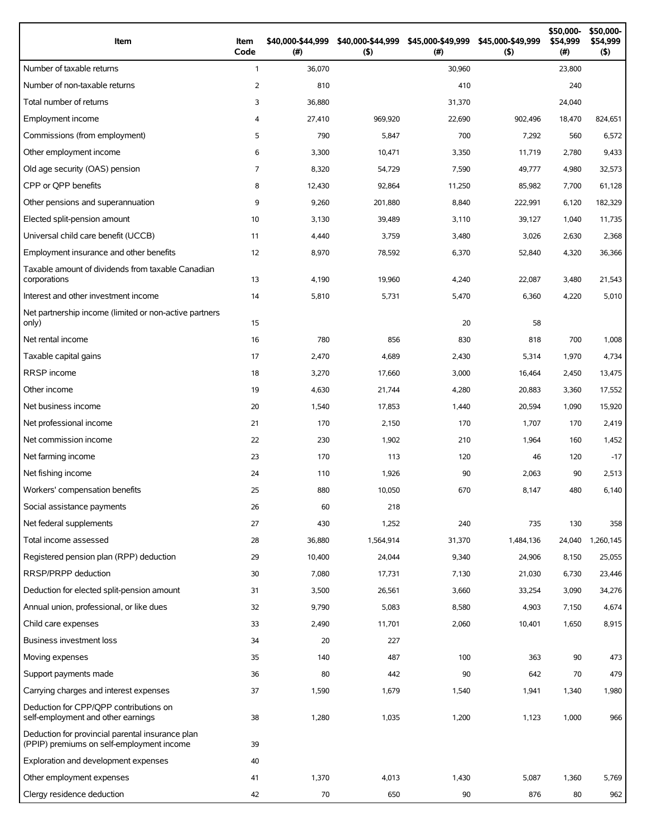| Item                                                                                          | Item<br>Code   | \$40,000-\$44,999<br>(#) | \$40,000-\$44,999<br>(5) | \$45,000-\$49,999<br>(#) | \$45,000-\$49,999<br>(5) | \$50,000-<br>\$54,999<br>(# ) | \$50,000-<br>\$54,999<br>(5) |
|-----------------------------------------------------------------------------------------------|----------------|--------------------------|--------------------------|--------------------------|--------------------------|-------------------------------|------------------------------|
| Number of taxable returns                                                                     | $\mathbf{1}$   | 36,070                   |                          | 30,960                   |                          | 23,800                        |                              |
| Number of non-taxable returns                                                                 | 2              | 810                      |                          | 410                      |                          | 240                           |                              |
| Total number of returns                                                                       | 3              | 36,880                   |                          | 31,370                   |                          | 24,040                        |                              |
| Employment income                                                                             | $\overline{4}$ | 27,410                   | 969,920                  | 22,690                   | 902,496                  | 18,470                        | 824,651                      |
| Commissions (from employment)                                                                 | 5              | 790                      | 5,847                    | 700                      | 7,292                    | 560                           | 6,572                        |
| Other employment income                                                                       | 6              | 3,300                    | 10,471                   | 3,350                    | 11,719                   | 2,780                         | 9,433                        |
| Old age security (OAS) pension                                                                | $\overline{7}$ | 8,320                    | 54,729                   | 7,590                    | 49,777                   | 4,980                         | 32,573                       |
| CPP or OPP benefits                                                                           | 8              | 12,430                   | 92,864                   | 11,250                   | 85,982                   | 7,700                         | 61,128                       |
| Other pensions and superannuation                                                             | 9              | 9,260                    | 201,880                  | 8,840                    | 222,991                  | 6,120                         | 182,329                      |
| Elected split-pension amount                                                                  | 10             | 3,130                    | 39,489                   | 3,110                    | 39,127                   | 1,040                         | 11,735                       |
| Universal child care benefit (UCCB)                                                           | 11             | 4,440                    | 3,759                    | 3,480                    | 3,026                    | 2,630                         | 2,368                        |
| Employment insurance and other benefits                                                       | 12             | 8,970                    | 78,592                   | 6,370                    | 52,840                   | 4,320                         | 36,366                       |
| Taxable amount of dividends from taxable Canadian<br>corporations                             | 13             | 4,190                    | 19,960                   | 4,240                    | 22,087                   | 3,480                         | 21,543                       |
| Interest and other investment income                                                          | 14             | 5,810                    | 5,731                    | 5,470                    | 6,360                    | 4,220                         | 5,010                        |
| Net partnership income (limited or non-active partners<br>only)                               | 15             |                          |                          | 20                       | 58                       |                               |                              |
| Net rental income                                                                             | 16             | 780                      | 856                      | 830                      | 818                      | 700                           | 1,008                        |
| Taxable capital gains                                                                         | 17             | 2,470                    | 4,689                    | 2,430                    | 5,314                    | 1,970                         | 4,734                        |
| <b>RRSP</b> income                                                                            | 18             | 3,270                    | 17,660                   | 3,000                    | 16,464                   | 2,450                         | 13,475                       |
| Other income                                                                                  | 19             | 4,630                    | 21,744                   | 4,280                    | 20,883                   | 3,360                         | 17,552                       |
| Net business income                                                                           | 20             | 1,540                    | 17,853                   | 1,440                    | 20,594                   | 1,090                         | 15,920                       |
| Net professional income                                                                       | 21             | 170                      | 2,150                    | 170                      | 1,707                    | 170                           | 2,419                        |
| Net commission income                                                                         | 22             | 230                      | 1,902                    | 210                      | 1,964                    | 160                           | 1,452                        |
| Net farming income                                                                            | 23             | 170                      | 113                      | 120                      | 46                       | 120                           | $-17$                        |
| Net fishing income                                                                            | 24             | 110                      | 1,926                    | 90                       | 2,063                    | 90                            | 2,513                        |
| Workers' compensation benefits                                                                | 25             | 880                      | 10,050                   | 670                      | 8,147                    | 480                           | 6,140                        |
| Social assistance payments                                                                    | 26             | 60                       | 218                      |                          |                          |                               |                              |
| Net federal supplements                                                                       | 27             | 430                      | 1,252                    | 240                      | 735                      | 130                           | 358                          |
| Total income assessed                                                                         | 28             | 36,880                   | 1,564,914                | 31,370                   | 1,484,136                | 24,040                        | 1,260,145                    |
| Registered pension plan (RPP) deduction                                                       | 29             | 10,400                   | 24,044                   | 9,340                    | 24,906                   | 8,150                         | 25,055                       |
| RRSP/PRPP deduction                                                                           | 30             | 7,080                    | 17,731                   | 7,130                    | 21,030                   | 6,730                         | 23,446                       |
| Deduction for elected split-pension amount                                                    | 31             | 3,500                    | 26,561                   | 3,660                    | 33,254                   | 3,090                         | 34,276                       |
| Annual union, professional, or like dues                                                      | 32             | 9,790                    | 5,083                    | 8,580                    | 4,903                    | 7,150                         | 4,674                        |
| Child care expenses                                                                           | 33             | 2,490                    | 11,701                   | 2,060                    | 10,401                   | 1,650                         | 8,915                        |
| <b>Business investment loss</b>                                                               | 34             | 20                       | 227                      |                          |                          |                               |                              |
| Moving expenses                                                                               | 35             | 140                      | 487                      | 100                      | 363                      | 90                            | 473                          |
| Support payments made                                                                         | 36             | 80                       | 442                      | 90                       | 642                      | 70                            | 479                          |
| Carrying charges and interest expenses                                                        | 37             | 1,590                    | 1,679                    | 1,540                    | 1,941                    | 1,340                         | 1,980                        |
| Deduction for CPP/QPP contributions on<br>self-employment and other earnings                  | 38             | 1,280                    | 1,035                    | 1,200                    | 1,123                    | 1,000                         | 966                          |
| Deduction for provincial parental insurance plan<br>(PPIP) premiums on self-employment income | 39             |                          |                          |                          |                          |                               |                              |
| Exploration and development expenses                                                          | 40             |                          |                          |                          |                          |                               |                              |
| Other employment expenses                                                                     | 41             | 1,370                    | 4,013                    | 1,430                    | 5,087                    | 1,360                         | 5,769                        |
| Clergy residence deduction                                                                    | 42             | 70                       | 650                      | 90                       | 876                      | 80                            | 962                          |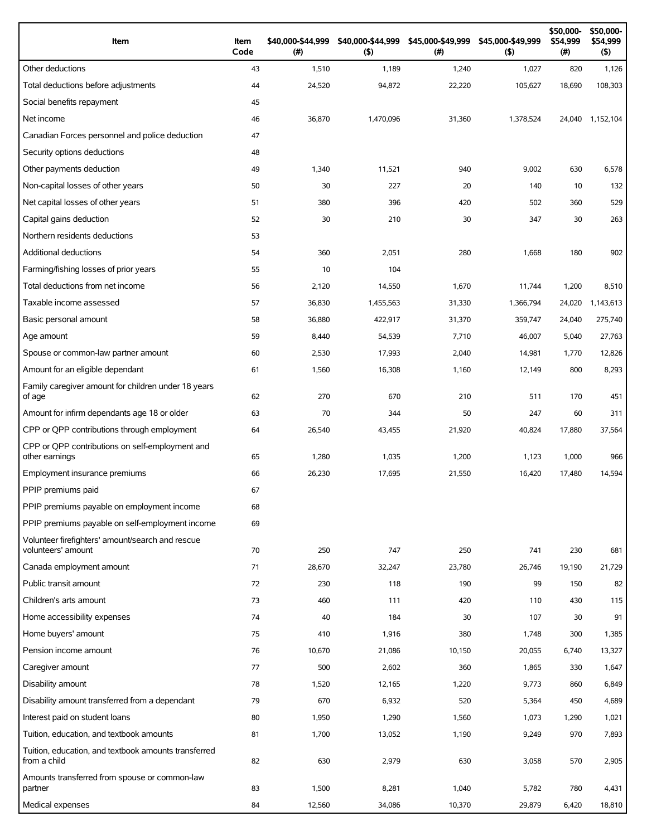| Item                                                                 | Item<br>Code | \$40,000-\$44,999<br>(#) | \$40,000-\$44,999<br>(5) | \$45,000-\$49,999<br>(# ) | \$45,000-\$49,999<br>$($ \$) | \$50,000-<br>\$54,999<br>$(\#)$ | \$50,000-<br>\$54,999<br>$($ \$) |
|----------------------------------------------------------------------|--------------|--------------------------|--------------------------|---------------------------|------------------------------|---------------------------------|----------------------------------|
| Other deductions                                                     | 43           | 1,510                    | 1,189                    | 1,240                     | 1,027                        | 820                             | 1,126                            |
| Total deductions before adjustments                                  | 44           | 24,520                   | 94,872                   | 22,220                    | 105,627                      | 18,690                          | 108,303                          |
| Social benefits repayment                                            | 45           |                          |                          |                           |                              |                                 |                                  |
| Net income                                                           | 46           | 36,870                   | 1,470,096                | 31,360                    | 1,378,524                    | 24,040                          | 1,152,104                        |
| Canadian Forces personnel and police deduction                       | 47           |                          |                          |                           |                              |                                 |                                  |
| Security options deductions                                          | 48           |                          |                          |                           |                              |                                 |                                  |
| Other payments deduction                                             | 49           | 1,340                    | 11,521                   | 940                       | 9,002                        | 630                             | 6,578                            |
| Non-capital losses of other years                                    | 50           | 30                       | 227                      | 20                        | 140                          | 10                              | 132                              |
| Net capital losses of other years                                    | 51           | 380                      | 396                      | 420                       | 502                          | 360                             | 529                              |
| Capital gains deduction                                              | 52           | 30                       | 210                      | 30                        | 347                          | 30                              | 263                              |
| Northern residents deductions                                        | 53           |                          |                          |                           |                              |                                 |                                  |
| Additional deductions                                                | 54           | 360                      | 2,051                    | 280                       | 1,668                        | 180                             | 902                              |
| Farming/fishing losses of prior years                                | 55           | 10                       | 104                      |                           |                              |                                 |                                  |
| Total deductions from net income                                     | 56           | 2,120                    | 14,550                   | 1,670                     | 11,744                       | 1,200                           | 8,510                            |
| Taxable income assessed                                              | 57           | 36,830                   | 1,455,563                | 31,330                    | 1,366,794                    | 24,020                          | 1,143,613                        |
| Basic personal amount                                                | 58           | 36,880                   | 422,917                  | 31,370                    | 359.747                      | 24,040                          | 275,740                          |
| Age amount                                                           | 59           | 8,440                    | 54,539                   | 7,710                     | 46,007                       | 5,040                           | 27,763                           |
| Spouse or common-law partner amount                                  | 60           | 2,530                    | 17,993                   | 2,040                     | 14,981                       | 1,770                           | 12,826                           |
| Amount for an eligible dependant                                     | 61           | 1,560                    | 16,308                   | 1,160                     | 12,149                       | 800                             | 8,293                            |
| Family caregiver amount for children under 18 years<br>of age        | 62           | 270                      | 670                      | 210                       | 511                          | 170                             | 451                              |
| Amount for infirm dependants age 18 or older                         | 63           | 70                       | 344                      | 50                        | 247                          | 60                              | 311                              |
| CPP or QPP contributions through employment                          | 64           | 26,540                   | 43,455                   | 21,920                    | 40,824                       | 17,880                          | 37,564                           |
| CPP or QPP contributions on self-employment and<br>other earnings    | 65           | 1,280                    | 1,035                    | 1,200                     | 1,123                        | 1,000                           | 966                              |
| Employment insurance premiums                                        | 66           | 26,230                   | 17,695                   | 21,550                    | 16,420                       | 17,480                          | 14,594                           |
| PPIP premiums paid                                                   | 67           |                          |                          |                           |                              |                                 |                                  |
| PPIP premiums payable on employment income                           | 68           |                          |                          |                           |                              |                                 |                                  |
| PPIP premiums payable on self-employment income                      | 69           |                          |                          |                           |                              |                                 |                                  |
| Volunteer firefighters' amount/search and rescue                     |              |                          |                          |                           |                              |                                 |                                  |
| volunteers' amount                                                   | 70           | 250                      | 747                      | 250                       | 741                          | 230                             | 681                              |
| Canada employment amount                                             | 71           | 28,670                   | 32,247                   | 23,780                    | 26,746                       | 19,190                          | 21,729                           |
| Public transit amount                                                | 72           | 230                      | 118                      | 190                       | 99                           | 150                             | 82                               |
| Children's arts amount                                               | 73           | 460                      | 111                      | 420                       | 110                          | 430                             | 115                              |
| Home accessibility expenses                                          | 74           | 40                       | 184                      | 30                        | 107                          | 30                              | 91                               |
| Home buyers' amount                                                  | 75           | 410                      | 1,916                    | 380                       | 1,748                        | 300                             | 1,385                            |
| Pension income amount                                                | 76           | 10,670                   | 21,086                   | 10,150                    | 20,055                       | 6,740                           | 13,327                           |
| Caregiver amount                                                     | 77           | 500                      | 2,602                    | 360                       | 1,865                        | 330                             | 1,647                            |
| Disability amount                                                    | 78           | 1,520                    | 12,165                   | 1,220                     | 9,773                        | 860                             | 6,849                            |
| Disability amount transferred from a dependant                       | 79           | 670                      | 6,932                    | 520                       | 5,364                        | 450                             | 4,689                            |
| Interest paid on student loans                                       | 80           | 1,950                    | 1,290                    | 1,560                     | 1,073                        | 1,290                           | 1,021                            |
| Tuition, education, and textbook amounts                             | 81           | 1,700                    | 13,052                   | 1,190                     | 9,249                        | 970                             | 7,893                            |
| Tuition, education, and textbook amounts transferred<br>from a child | 82           | 630                      | 2,979                    | 630                       | 3,058                        | 570                             | 2,905                            |
| Amounts transferred from spouse or common-law<br>partner             | 83           | 1,500                    | 8,281                    | 1,040                     | 5,782                        | 780                             | 4,431                            |
| Medical expenses                                                     | 84           | 12,560                   | 34,086                   | 10,370                    | 29,879                       | 6,420                           | 18,810                           |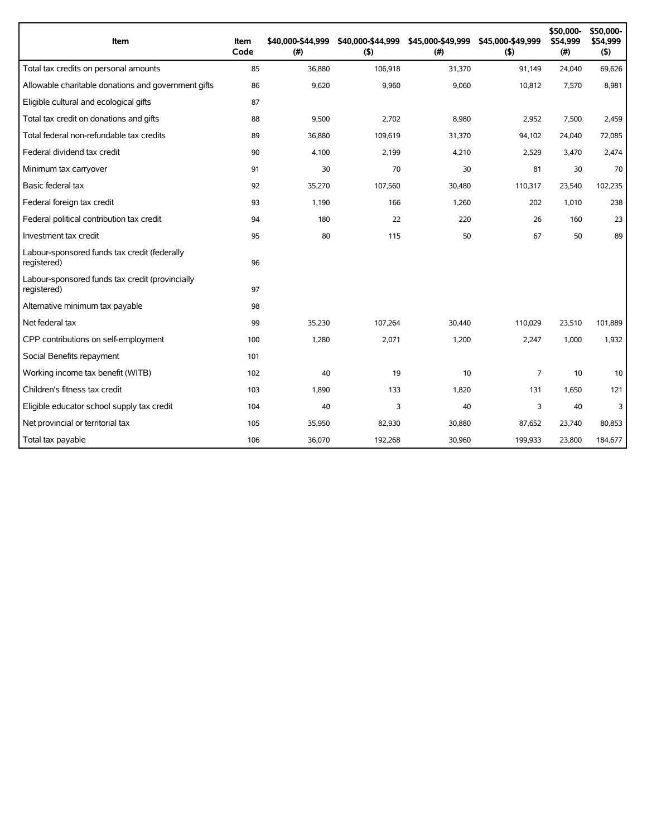| Item                                                           | Item<br>Code | \$40,000-\$44,999<br>(# ) | \$40,000-\$44,999<br>(5) | \$45,000-\$49,999<br>(# ) | \$45,000-\$49,999<br>(5) | \$50,000-<br>\$54,999<br>(#) | \$50,000-<br>\$54,999<br>(5) |
|----------------------------------------------------------------|--------------|---------------------------|--------------------------|---------------------------|--------------------------|------------------------------|------------------------------|
| Total tax credits on personal amounts                          | 85           | 36,880                    | 106,918                  | 31,370                    | 91,149                   | 24,040                       | 69,626                       |
| Allowable charitable donations and government gifts            | 86           | 9,620                     | 9,960                    | 9,060                     | 10,812                   | 7,570                        | 8,981                        |
| Eligible cultural and ecological gifts                         | 87           |                           |                          |                           |                          |                              |                              |
| Total tax credit on donations and gifts                        | 88           | 9,500                     | 2,702                    | 8,980                     | 2,952                    | 7,500                        | 2,459                        |
| Total federal non-refundable tax credits                       | 89           | 36,880                    | 109,619                  | 31,370                    | 94,102                   | 24,040                       | 72,085                       |
| Federal dividend tax credit                                    | 90           | 4,100                     | 2,199                    | 4,210                     | 2,529                    | 3,470                        | 2,474                        |
| Minimum tax carryover                                          | 91           | 30                        | 70                       | 30                        | 81                       | 30                           | 70                           |
| Basic federal tax                                              | 92           | 35,270                    | 107,560                  | 30,480                    | 110,317                  | 23,540                       | 102,235                      |
| Federal foreign tax credit                                     | 93           | 1,190                     | 166                      | 1,260                     | 202                      | 1,010                        | 238                          |
| Federal political contribution tax credit                      | 94           | 180                       | 22                       | 220                       | 26                       | 160                          | 23                           |
| Investment tax credit                                          | 95           | 80                        | 115                      | 50                        | 67                       | 50                           | 89                           |
| Labour-sponsored funds tax credit (federally<br>registered)    | 96           |                           |                          |                           |                          |                              |                              |
| Labour-sponsored funds tax credit (provincially<br>registered) | 97           |                           |                          |                           |                          |                              |                              |
| Alternative minimum tax payable                                | 98           |                           |                          |                           |                          |                              |                              |
| Net federal tax                                                | 99           | 35,230                    | 107.264                  | 30.440                    | 110.029                  | 23,510                       | 101,889                      |
| CPP contributions on self-employment                           | 100          | 1,280                     | 2,071                    | 1,200                     | 2,247                    | 1,000                        | 1,932                        |
| Social Benefits repayment                                      | 101          |                           |                          |                           |                          |                              |                              |
| Working income tax benefit (WITB)                              | 102          | 40                        | 19                       | 10                        | 7                        | 10                           | 10                           |
| Children's fitness tax credit                                  | 103          | 1,890                     | 133                      | 1,820                     | 131                      | 1,650                        | 121                          |
| Eligible educator school supply tax credit                     | 104          | 40                        | 3                        | 40                        | 3                        | 40                           | 3                            |
| Net provincial or territorial tax                              | 105          | 35,950                    | 82,930                   | 30,880                    | 87,652                   | 23,740                       | 80,853                       |
| Total tax payable                                              | 106          | 36,070                    | 192,268                  | 30,960                    | 199,933                  | 23,800                       | 184,677                      |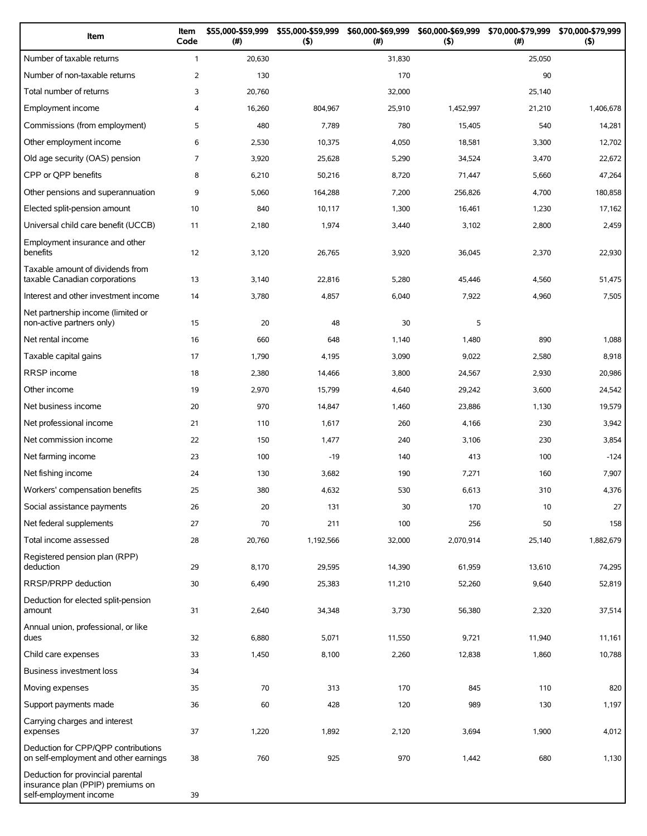| Item                                                                                             | Item<br>Code   | \$55,000-\$59,999<br>(#) | \$55,000-\$59,999<br>(5) | \$60,000-\$69,999<br>(# ) | \$60,000-\$69,999<br>(5) | \$70,000-\$79,999<br>(#) | \$70,000-\$79,999<br>(5) |
|--------------------------------------------------------------------------------------------------|----------------|--------------------------|--------------------------|---------------------------|--------------------------|--------------------------|--------------------------|
| Number of taxable returns                                                                        | $\mathbf{1}$   | 20,630                   |                          | 31,830                    |                          | 25,050                   |                          |
| Number of non-taxable returns                                                                    | $\overline{2}$ | 130                      |                          | 170                       |                          | 90                       |                          |
| Total number of returns                                                                          | 3              | 20,760                   |                          | 32,000                    |                          | 25,140                   |                          |
| Employment income                                                                                | 4              | 16,260                   | 804,967                  | 25,910                    | 1,452,997                | 21,210                   | 1,406,678                |
| Commissions (from employment)                                                                    | 5              | 480                      | 7,789                    | 780                       | 15,405                   | 540                      | 14,281                   |
| Other employment income                                                                          | 6              | 2,530                    | 10,375                   | 4,050                     | 18,581                   | 3,300                    | 12,702                   |
| Old age security (OAS) pension                                                                   | $\overline{7}$ | 3,920                    | 25,628                   | 5,290                     | 34,524                   | 3,470                    | 22,672                   |
| CPP or QPP benefits                                                                              | 8              | 6,210                    | 50,216                   | 8,720                     | 71,447                   | 5,660                    | 47,264                   |
| Other pensions and superannuation                                                                | 9              | 5,060                    | 164,288                  | 7,200                     | 256,826                  | 4,700                    | 180,858                  |
| Elected split-pension amount                                                                     | 10             | 840                      | 10,117                   | 1,300                     | 16,461                   | 1,230                    | 17,162                   |
| Universal child care benefit (UCCB)                                                              | 11             | 2,180                    | 1,974                    | 3,440                     | 3,102                    | 2,800                    | 2,459                    |
| Employment insurance and other<br>benefits                                                       | 12             | 3,120                    | 26,765                   | 3,920                     | 36,045                   | 2,370                    | 22,930                   |
| Taxable amount of dividends from<br>taxable Canadian corporations                                | 13             | 3,140                    | 22,816                   | 5,280                     | 45,446                   | 4,560                    | 51,475                   |
| Interest and other investment income                                                             | 14             | 3,780                    | 4,857                    | 6,040                     | 7,922                    | 4,960                    | 7,505                    |
| Net partnership income (limited or<br>non-active partners only)                                  | 15             | 20                       | 48                       | 30                        | 5                        |                          |                          |
| Net rental income                                                                                | 16             | 660                      | 648                      | 1,140                     | 1,480                    | 890                      | 1,088                    |
| Taxable capital gains                                                                            | 17             | 1,790                    | 4,195                    | 3,090                     | 9,022                    | 2,580                    | 8,918                    |
| <b>RRSP</b> income                                                                               | 18             | 2,380                    | 14,466                   | 3,800                     | 24,567                   | 2,930                    | 20,986                   |
| Other income                                                                                     | 19             | 2,970                    | 15,799                   | 4,640                     | 29,242                   | 3,600                    | 24,542                   |
| Net business income                                                                              | 20             | 970                      | 14,847                   | 1,460                     | 23,886                   | 1,130                    | 19,579                   |
| Net professional income                                                                          | 21             | 110                      | 1,617                    | 260                       | 4,166                    | 230                      | 3,942                    |
| Net commission income                                                                            | 22             | 150                      | 1,477                    | 240                       | 3,106                    | 230                      | 3,854                    |
| Net farming income                                                                               | 23             | 100                      | $-19$                    | 140                       | 413                      | 100                      | $-124$                   |
| Net fishing income                                                                               | 24             | 130                      | 3,682                    | 190                       | 7,271                    | 160                      | 7,907                    |
| Workers' compensation benefits                                                                   | 25             | 380                      | 4,632                    | 530                       | 6,613                    | 310                      | 4,376                    |
| Social assistance payments                                                                       | 26             | 20                       | 131                      | 30                        | 170                      | 10                       | 27                       |
| Net federal supplements                                                                          | 27             | 70                       | 211                      | 100                       | 256                      | 50                       | 158                      |
| Total income assessed                                                                            | 28             | 20,760                   | 1,192,566                | 32,000                    | 2,070,914                | 25,140                   | 1,882,679                |
| Registered pension plan (RPP)<br>deduction                                                       | 29             | 8,170                    | 29,595                   | 14,390                    | 61,959                   | 13,610                   | 74,295                   |
| RRSP/PRPP deduction                                                                              | 30             | 6,490                    | 25,383                   | 11,210                    | 52,260                   | 9,640                    | 52,819                   |
| Deduction for elected split-pension<br>amount                                                    | 31             | 2,640                    | 34,348                   | 3,730                     | 56,380                   | 2,320                    | 37,514                   |
| Annual union, professional, or like<br>dues                                                      | 32             | 6,880                    | 5,071                    | 11,550                    | 9,721                    | 11,940                   | 11,161                   |
| Child care expenses                                                                              | 33             | 1,450                    | 8,100                    | 2,260                     | 12,838                   | 1,860                    | 10,788                   |
| Business investment loss                                                                         | 34             |                          |                          |                           |                          |                          |                          |
| Moving expenses                                                                                  | 35             | 70                       | 313                      | 170                       | 845                      | 110                      | 820                      |
| Support payments made                                                                            | 36             | 60                       | 428                      | 120                       | 989                      | 130                      | 1,197                    |
| Carrying charges and interest<br>expenses                                                        | 37             | 1,220                    | 1,892                    | 2,120                     | 3,694                    | 1,900                    | 4,012                    |
| Deduction for CPP/QPP contributions<br>on self-employment and other earnings                     | 38             | 760                      | 925                      | 970                       | 1,442                    | 680                      | 1,130                    |
| Deduction for provincial parental<br>insurance plan (PPIP) premiums on<br>self-employment income | 39             |                          |                          |                           |                          |                          |                          |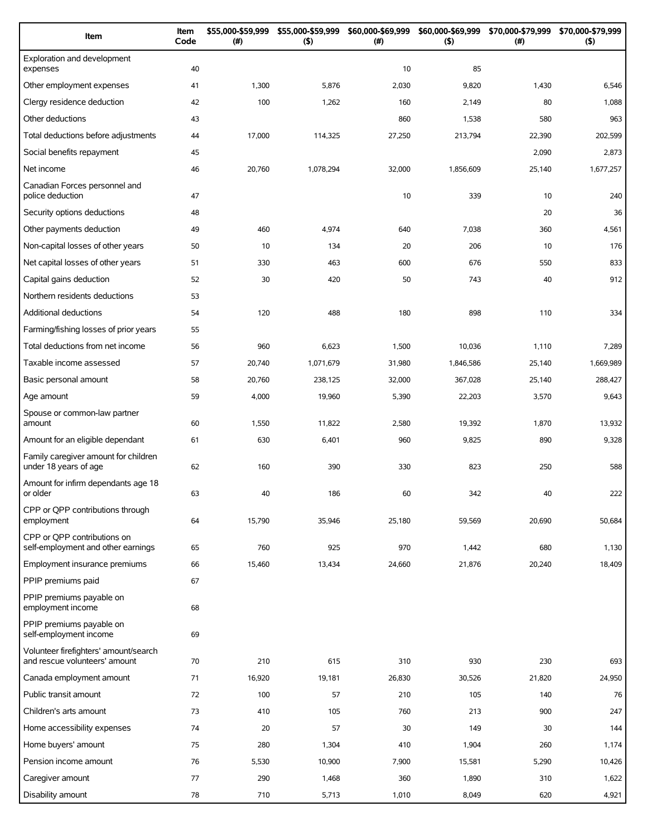| Item                                                                   | Item<br>Code | \$55,000-\$59,999<br>(#) | \$55,000-\$59,999<br>(5) | \$60,000-\$69,999<br>(#) | \$60,000-\$69,999<br>(5) | \$70,000-\$79,999<br>$(\#)$ | \$70,000-\$79,999<br>(5) |
|------------------------------------------------------------------------|--------------|--------------------------|--------------------------|--------------------------|--------------------------|-----------------------------|--------------------------|
| Exploration and development<br>expenses                                | 40           |                          |                          | 10                       | 85                       |                             |                          |
| Other employment expenses                                              | 41           | 1,300                    | 5,876                    | 2,030                    | 9,820                    | 1,430                       | 6,546                    |
| Clergy residence deduction                                             | 42           | 100                      | 1,262                    | 160                      | 2,149                    | 80                          | 1,088                    |
| Other deductions                                                       | 43           |                          |                          | 860                      | 1,538                    | 580                         | 963                      |
| Total deductions before adjustments                                    | 44           | 17,000                   | 114,325                  | 27,250                   | 213,794                  | 22,390                      | 202,599                  |
| Social benefits repayment                                              | 45           |                          |                          |                          |                          | 2,090                       | 2,873                    |
| Net income                                                             | 46           | 20,760                   | 1,078,294                | 32,000                   | 1,856,609                | 25,140                      | 1,677,257                |
| Canadian Forces personnel and<br>police deduction                      | 47           |                          |                          | 10                       | 339                      | 10                          | 240                      |
| Security options deductions                                            | 48           |                          |                          |                          |                          | 20                          | 36                       |
| Other payments deduction                                               | 49           | 460                      | 4,974                    | 640                      | 7,038                    | 360                         | 4,561                    |
| Non-capital losses of other years                                      | 50           | 10                       | 134                      | 20                       | 206                      | 10                          | 176                      |
| Net capital losses of other years                                      | 51           | 330                      | 463                      | 600                      | 676                      | 550                         | 833                      |
| Capital gains deduction                                                | 52           | 30                       | 420                      | 50                       | 743                      | 40                          | 912                      |
| Northern residents deductions                                          | 53           |                          |                          |                          |                          |                             |                          |
| <b>Additional deductions</b>                                           | 54           | 120                      | 488                      | 180                      | 898                      | 110                         | 334                      |
| Farming/fishing losses of prior years                                  | 55           |                          |                          |                          |                          |                             |                          |
| Total deductions from net income                                       | 56           | 960                      | 6,623                    | 1,500                    | 10,036                   | 1,110                       | 7,289                    |
| Taxable income assessed                                                | 57           | 20,740                   | 1,071,679                | 31,980                   | 1,846,586                | 25,140                      | 1,669,989                |
| Basic personal amount                                                  | 58           | 20,760                   | 238,125                  | 32,000                   | 367,028                  | 25,140                      | 288,427                  |
| Age amount                                                             | 59           | 4,000                    | 19,960                   | 5,390                    | 22,203                   | 3,570                       | 9,643                    |
| Spouse or common-law partner<br>amount                                 | 60           | 1,550                    | 11,822                   | 2,580                    | 19,392                   | 1,870                       | 13,932                   |
| Amount for an eligible dependant                                       | 61           | 630                      | 6,401                    | 960                      | 9,825                    | 890                         | 9,328                    |
| Family caregiver amount for children<br>under 18 years of age          | 62           | 160                      | 390                      | 330                      | 823                      | 250                         | 588                      |
| Amount for infirm dependants age 18<br>or older                        | 63           | 40                       | 186                      | 60                       | 342                      | 40                          | 222                      |
| CPP or QPP contributions through<br>employment                         | 64           | 15,790                   | 35,946                   | 25,180                   | 59,569                   | 20,690                      | 50,684                   |
| CPP or OPP contributions on<br>self-employment and other earnings      | 65           | 760                      | 925                      | 970                      | 1,442                    | 680                         | 1,130                    |
| Employment insurance premiums                                          | 66           | 15,460                   | 13,434                   | 24,660                   | 21,876                   | 20,240                      | 18,409                   |
| PPIP premiums paid                                                     | 67           |                          |                          |                          |                          |                             |                          |
| PPIP premiums payable on<br>employment income                          | 68           |                          |                          |                          |                          |                             |                          |
| PPIP premiums payable on<br>self-employment income                     | 69           |                          |                          |                          |                          |                             |                          |
| Volunteer firefighters' amount/search<br>and rescue volunteers' amount | 70           | 210                      | 615                      | 310                      | 930                      | 230                         | 693                      |
| Canada employment amount                                               | 71           | 16,920                   | 19,181                   | 26,830                   | 30,526                   | 21,820                      | 24,950                   |
| Public transit amount                                                  | 72           | 100                      | 57                       | 210                      | 105                      | 140                         | 76                       |
| Children's arts amount                                                 | 73           | 410                      | 105                      | 760                      | 213                      | 900                         | 247                      |
| Home accessibility expenses                                            | 74           | 20                       | 57                       | 30                       | 149                      | 30                          | 144                      |
| Home buyers' amount                                                    | 75           | 280                      | 1,304                    | 410                      | 1,904                    | 260                         | 1,174                    |
| Pension income amount                                                  | 76           | 5,530                    | 10,900                   | 7,900                    | 15,581                   | 5,290                       | 10,426                   |
| Caregiver amount                                                       | 77           | 290                      | 1,468                    | 360                      | 1,890                    | 310                         | 1,622                    |
| Disability amount                                                      | 78           | 710                      | 5,713                    | 1,010                    | 8,049                    | 620                         | 4,921                    |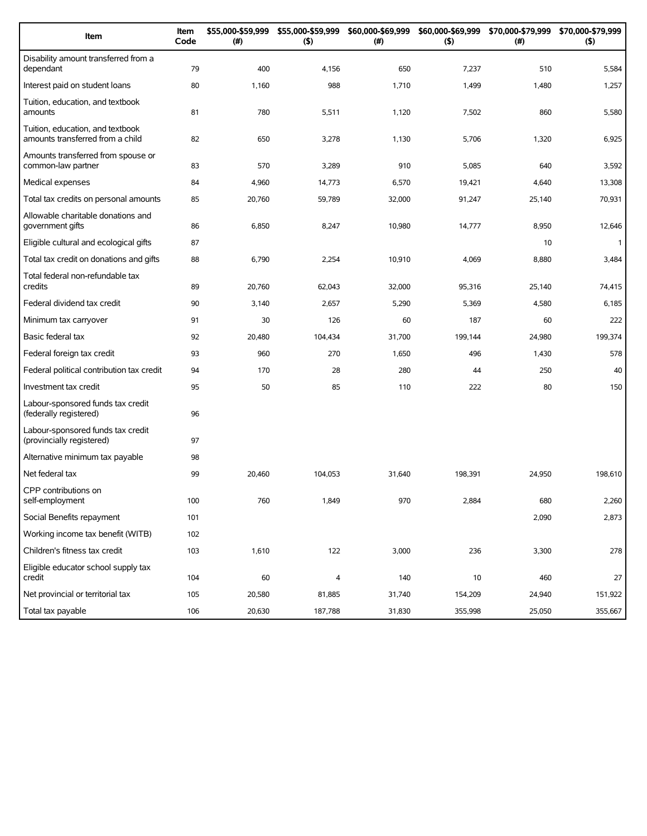| Item                                                                 | Item<br>Code | \$55,000-\$59,999<br>(#) | \$55,000-\$59,999<br>(5) | \$60,000-\$69,999<br>(#) | (5)     | \$60,000-\$69,999 \$70,000-\$79,999<br>(#) | \$70,000-\$79,999<br>(5) |
|----------------------------------------------------------------------|--------------|--------------------------|--------------------------|--------------------------|---------|--------------------------------------------|--------------------------|
| Disability amount transferred from a<br>dependant                    | 79           | 400                      | 4,156                    | 650                      | 7,237   | 510                                        | 5,584                    |
| Interest paid on student loans                                       | 80           | 1,160                    | 988                      | 1,710                    | 1,499   | 1,480                                      | 1,257                    |
| Tuition, education, and textbook<br>amounts                          | 81           | 780                      | 5,511                    | 1,120                    | 7,502   | 860                                        | 5,580                    |
| Tuition, education, and textbook<br>amounts transferred from a child | 82           | 650                      | 3,278                    | 1,130                    | 5,706   | 1,320                                      | 6,925                    |
| Amounts transferred from spouse or<br>common-law partner             | 83           | 570                      | 3,289                    | 910                      | 5,085   | 640                                        | 3,592                    |
| Medical expenses                                                     | 84           | 4,960                    | 14,773                   | 6,570                    | 19,421  | 4,640                                      | 13,308                   |
| Total tax credits on personal amounts                                | 85           | 20,760                   | 59,789                   | 32,000                   | 91,247  | 25,140                                     | 70,931                   |
| Allowable charitable donations and<br>government gifts               | 86           | 6,850                    | 8,247                    | 10,980                   | 14,777  | 8,950                                      | 12,646                   |
| Eligible cultural and ecological gifts                               | 87           |                          |                          |                          |         | 10                                         | $\mathbf{1}$             |
| Total tax credit on donations and gifts                              | 88           | 6,790                    | 2,254                    | 10,910                   | 4,069   | 8,880                                      | 3,484                    |
| Total federal non-refundable tax<br>credits                          | 89           | 20,760                   | 62,043                   | 32,000                   | 95,316  | 25,140                                     | 74,415                   |
| Federal dividend tax credit                                          | 90           | 3,140                    | 2,657                    | 5,290                    | 5,369   | 4,580                                      | 6,185                    |
| Minimum tax carryover                                                | 91           | 30                       | 126                      | 60                       | 187     | 60                                         | 222                      |
| Basic federal tax                                                    | 92           | 20,480                   | 104,434                  | 31,700                   | 199,144 | 24,980                                     | 199,374                  |
| Federal foreign tax credit                                           | 93           | 960                      | 270                      | 1,650                    | 496     | 1,430                                      | 578                      |
| Federal political contribution tax credit                            | 94           | 170                      | 28                       | 280                      | 44      | 250                                        | 40                       |
| Investment tax credit                                                | 95           | 50                       | 85                       | 110                      | 222     | 80                                         | 150                      |
| Labour-sponsored funds tax credit<br>(federally registered)          | 96           |                          |                          |                          |         |                                            |                          |
| Labour-sponsored funds tax credit<br>(provincially registered)       | 97           |                          |                          |                          |         |                                            |                          |
| Alternative minimum tax payable                                      | 98           |                          |                          |                          |         |                                            |                          |
| Net federal tax                                                      | 99           | 20,460                   | 104,053                  | 31,640                   | 198,391 | 24,950                                     | 198,610                  |
| CPP contributions on<br>self-employment                              | 100          | 760                      | 1,849                    | 970                      | 2,884   | 680                                        | 2,260                    |
| Social Benefits repayment                                            | 101          |                          |                          |                          |         | 2,090                                      | 2,873                    |
| Working income tax benefit (WITB)                                    | 102          |                          |                          |                          |         |                                            |                          |
| Children's fitness tax credit                                        | 103          | 1,610                    | 122                      | 3,000                    | 236     | 3,300                                      | 278                      |
| Eligible educator school supply tax<br>credit                        | 104          | 60                       | 4                        | 140                      | 10      | 460                                        | 27                       |
| Net provincial or territorial tax                                    | 105          | 20,580                   | 81,885                   | 31,740                   | 154,209 | 24,940                                     | 151,922                  |
| Total tax payable                                                    | 106          | 20,630                   | 187,788                  | 31,830                   | 355,998 | 25,050                                     | 355,667                  |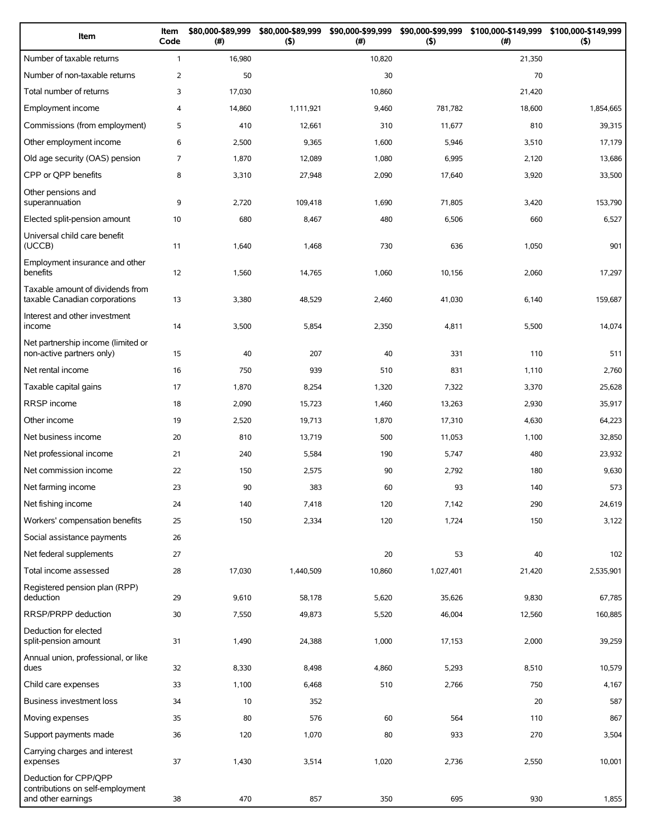| Item                                                                            | Item<br>Code   | \$80,000-\$89,999<br>$(\#)$ | \$80,000-\$89,999<br>$($ \$) | \$90,000-\$99,999<br>(# ) | \$90,000-\$99,999<br>$($ \$) | \$100,000-\$149,999<br>(#) | \$100,000-\$149,999<br>$($ \$) |
|---------------------------------------------------------------------------------|----------------|-----------------------------|------------------------------|---------------------------|------------------------------|----------------------------|--------------------------------|
| Number of taxable returns                                                       | $\mathbf{1}$   | 16,980                      |                              | 10,820                    |                              | 21,350                     |                                |
| Number of non-taxable returns                                                   | $\overline{2}$ | 50                          |                              | 30                        |                              | 70                         |                                |
| Total number of returns                                                         | 3              | 17,030                      |                              | 10,860                    |                              | 21,420                     |                                |
| Employment income                                                               | 4              | 14,860                      | 1,111,921                    | 9,460                     | 781,782                      | 18,600                     | 1,854,665                      |
| Commissions (from employment)                                                   | 5              | 410                         | 12,661                       | 310                       | 11,677                       | 810                        | 39,315                         |
| Other employment income                                                         | 6              | 2,500                       | 9,365                        | 1,600                     | 5,946                        | 3,510                      | 17,179                         |
| Old age security (OAS) pension                                                  | 7              | 1,870                       | 12,089                       | 1,080                     | 6,995                        | 2,120                      | 13,686                         |
| CPP or QPP benefits                                                             | 8              | 3,310                       | 27,948                       | 2,090                     | 17,640                       | 3,920                      | 33,500                         |
| Other pensions and<br>superannuation                                            | 9              | 2,720                       | 109,418                      | 1,690                     | 71,805                       | 3,420                      | 153,790                        |
| Elected split-pension amount                                                    | 10             | 680                         | 8,467                        | 480                       | 6,506                        | 660                        | 6,527                          |
| Universal child care benefit<br>(UCCB)                                          | 11             | 1,640                       | 1,468                        | 730                       | 636                          | 1,050                      | 901                            |
| Employment insurance and other<br>benefits                                      | 12             | 1,560                       | 14,765                       | 1,060                     | 10,156                       | 2,060                      | 17,297                         |
| Taxable amount of dividends from<br>taxable Canadian corporations               | 13             | 3,380                       | 48,529                       | 2,460                     | 41,030                       | 6,140                      | 159,687                        |
| Interest and other investment<br>income                                         | 14             | 3,500                       | 5,854                        | 2,350                     | 4,811                        | 5,500                      | 14,074                         |
| Net partnership income (limited or<br>non-active partners only)                 | 15             | 40                          | 207                          | 40                        | 331                          | 110                        | 511                            |
| Net rental income                                                               | 16             | 750                         | 939                          | 510                       | 831                          | 1,110                      | 2,760                          |
| Taxable capital gains                                                           | 17             | 1,870                       | 8,254                        | 1,320                     | 7,322                        | 3,370                      | 25,628                         |
| RRSP income                                                                     | 18             | 2,090                       | 15,723                       | 1,460                     | 13,263                       | 2,930                      | 35,917                         |
| Other income                                                                    | 19             | 2,520                       | 19,713                       | 1,870                     | 17,310                       | 4,630                      | 64,223                         |
| Net business income                                                             | 20             | 810                         | 13,719                       | 500                       | 11,053                       | 1,100                      | 32,850                         |
| Net professional income                                                         | 21             | 240                         | 5,584                        | 190                       | 5,747                        | 480                        | 23,932                         |
| Net commission income                                                           | 22             | 150                         | 2,575                        | 90                        | 2,792                        | 180                        | 9,630                          |
| Net farming income                                                              | 23             | 90                          | 383                          | 60                        | 93                           | 140                        | 573                            |
| Net fishing income                                                              | 24             | 140                         | 7,418                        | 120                       | 7,142                        | 290                        | 24,619                         |
| Workers' compensation benefits                                                  | 25             | 150                         | 2,334                        | 120                       | 1,724                        | 150                        | 3,122                          |
| Social assistance payments                                                      | 26             |                             |                              |                           |                              |                            |                                |
| Net federal supplements                                                         | 27             |                             |                              | 20                        | 53                           | 40                         | 102                            |
| Total income assessed                                                           | 28             | 17,030                      | 1,440,509                    | 10,860                    | 1,027,401                    | 21,420                     | 2,535,901                      |
| Registered pension plan (RPP)<br>deduction                                      | 29             | 9,610                       | 58,178                       | 5,620                     | 35,626                       | 9,830                      | 67,785                         |
| RRSP/PRPP deduction                                                             | 30             | 7,550                       | 49,873                       | 5,520                     | 46,004                       | 12,560                     | 160,885                        |
| Deduction for elected<br>split-pension amount                                   | 31             | 1,490                       | 24,388                       | 1,000                     | 17,153                       | 2,000                      | 39,259                         |
| Annual union, professional, or like<br>dues                                     | 32             | 8,330                       | 8,498                        | 4,860                     | 5,293                        | 8,510                      | 10,579                         |
| Child care expenses                                                             | 33             | 1,100                       | 6,468                        | 510                       | 2,766                        | 750                        | 4,167                          |
| Business investment loss                                                        | 34             | 10                          | 352                          |                           |                              | 20                         | 587                            |
| Moving expenses                                                                 | 35             | 80                          | 576                          | 60                        | 564                          | 110                        | 867                            |
| Support payments made                                                           | 36             | 120                         | 1,070                        | 80                        | 933                          | 270                        | 3,504                          |
| Carrying charges and interest<br>expenses                                       | 37             | 1,430                       | 3,514                        | 1,020                     | 2,736                        | 2,550                      | 10,001                         |
| Deduction for CPP/QPP<br>contributions on self-employment<br>and other earnings | 38             | 470                         | 857                          | 350                       | 695                          | 930                        | 1,855                          |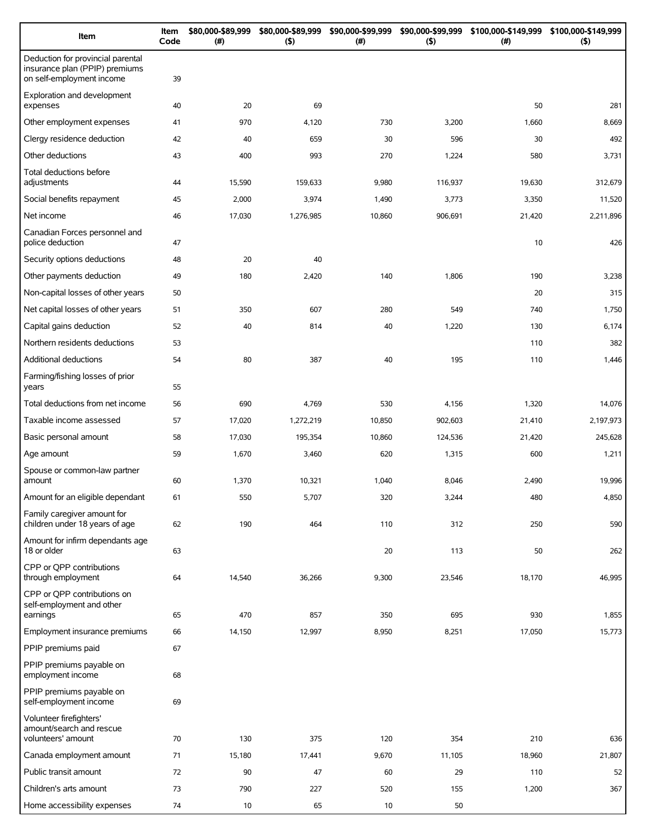| Item                                                                                             | Item<br>Code | \$80,000-\$89,999<br>(# ) | \$80,000-\$89,999<br>$($ \$) | \$90,000-\$99,999<br>(# ) | \$90,000-\$99,999<br>(5) | \$100,000-\$149,999<br>(#) | \$100,000-\$149,999<br>$($ \$) |
|--------------------------------------------------------------------------------------------------|--------------|---------------------------|------------------------------|---------------------------|--------------------------|----------------------------|--------------------------------|
| Deduction for provincial parental<br>insurance plan (PPIP) premiums<br>on self-employment income | 39           |                           |                              |                           |                          |                            |                                |
| Exploration and development<br>expenses                                                          | 40           | 20                        | 69                           |                           |                          | 50                         | 281                            |
| Other employment expenses                                                                        | 41           | 970                       | 4,120                        | 730                       | 3,200                    | 1,660                      | 8,669                          |
| Clergy residence deduction                                                                       | 42           | 40                        | 659                          | 30                        | 596                      | 30                         | 492                            |
| Other deductions                                                                                 | 43           | 400                       | 993                          | 270                       | 1,224                    | 580                        | 3,731                          |
| Total deductions before<br>adjustments                                                           | 44           | 15,590                    | 159,633                      | 9,980                     | 116,937                  | 19,630                     | 312,679                        |
| Social benefits repayment                                                                        | 45           | 2,000                     | 3,974                        | 1,490                     | 3,773                    | 3,350                      | 11,520                         |
| Net income                                                                                       | 46           | 17,030                    | 1,276,985                    | 10,860                    | 906,691                  | 21,420                     | 2,211,896                      |
| Canadian Forces personnel and<br>police deduction                                                | 47           |                           |                              |                           |                          | 10                         | 426                            |
| Security options deductions                                                                      | 48           | 20                        | 40                           |                           |                          |                            |                                |
| Other payments deduction                                                                         | 49           | 180                       | 2,420                        | 140                       | 1,806                    | 190                        | 3,238                          |
| Non-capital losses of other years                                                                | 50           |                           |                              |                           |                          | 20                         | 315                            |
| Net capital losses of other years                                                                | 51           | 350                       | 607                          | 280                       | 549                      | 740                        | 1,750                          |
| Capital gains deduction                                                                          | 52           | 40                        | 814                          | 40                        | 1,220                    | 130                        | 6,174                          |
| Northern residents deductions                                                                    | 53           |                           |                              |                           |                          | 110                        | 382                            |
| Additional deductions                                                                            | 54           | 80                        | 387                          | 40                        | 195                      | 110                        | 1,446                          |
| Farming/fishing losses of prior<br>years                                                         | 55           |                           |                              |                           |                          |                            |                                |
| Total deductions from net income                                                                 | 56           | 690                       | 4,769                        | 530                       | 4,156                    | 1,320                      | 14,076                         |
| Taxable income assessed                                                                          | 57           | 17,020                    | 1,272,219                    | 10,850                    | 902,603                  | 21,410                     | 2,197,973                      |
| Basic personal amount                                                                            | 58           | 17,030                    | 195,354                      | 10,860                    | 124,536                  | 21,420                     | 245,628                        |
| Age amount                                                                                       | 59           | 1,670                     | 3,460                        | 620                       | 1,315                    | 600                        | 1,211                          |
| Spouse or common-law partner<br>amount                                                           | 60           | 1,370                     | 10,321                       | 1,040                     | 8,046                    | 2,490                      | 19,996                         |
| Amount for an eligible dependant                                                                 | 61           | 550                       | 5,707                        | 320                       | 3,244                    | 480                        | 4,850                          |
| Family caregiver amount for<br>children under 18 years of age                                    | 62           | 190                       | 464                          | 110                       | 312                      | 250                        | 590                            |
| Amount for infirm dependants age<br>18 or older                                                  | 63           |                           |                              | 20                        | 113                      | 50                         | 262                            |
| CPP or OPP contributions<br>through employment                                                   | 64           | 14,540                    | 36,266                       | 9,300                     | 23,546                   | 18,170                     | 46,995                         |
| CPP or QPP contributions on<br>self-employment and other<br>earnings                             | 65           | 470                       | 857                          | 350                       | 695                      | 930                        | 1,855                          |
| Employment insurance premiums                                                                    | 66           | 14,150                    | 12,997                       | 8,950                     | 8,251                    | 17,050                     | 15,773                         |
| PPIP premiums paid                                                                               | 67           |                           |                              |                           |                          |                            |                                |
| PPIP premiums payable on<br>employment income                                                    | 68           |                           |                              |                           |                          |                            |                                |
| PPIP premiums payable on<br>self-employment income                                               | 69           |                           |                              |                           |                          |                            |                                |
| Volunteer firefighters'<br>amount/search and rescue<br>volunteers' amount                        | 70           | 130                       | 375                          | 120                       | 354                      | 210                        | 636                            |
| Canada employment amount                                                                         | 71           | 15,180                    | 17,441                       | 9,670                     | 11,105                   | 18,960                     | 21,807                         |
| Public transit amount                                                                            | 72           | 90                        | 47                           | 60                        | 29                       | 110                        | 52                             |
| Children's arts amount                                                                           | 73           | 790                       | 227                          | 520                       | 155                      | 1,200                      | 367                            |
| Home accessibility expenses                                                                      | 74           | 10                        | 65                           | 10                        | 50                       |                            |                                |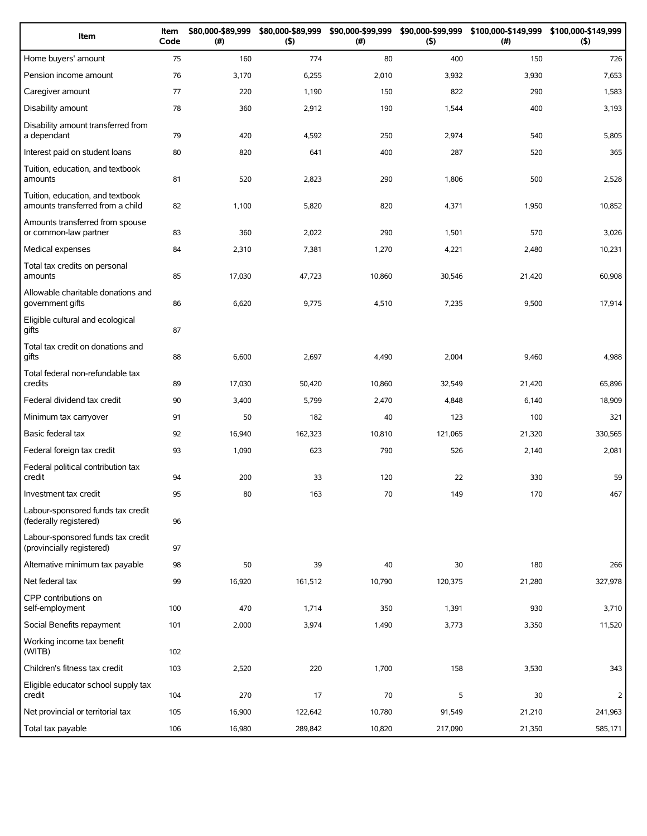| Item                                                                 | Item<br>Code | \$80,000-\$89,999<br>(#) | \$80,000-\$89,999<br>(5) | \$90,000-\$99,999<br>(# ) | \$90,000-\$99,999<br>(5) | \$100,000-\$149,999<br>(# ) | \$100,000-\$149,999<br>$($ \$) |
|----------------------------------------------------------------------|--------------|--------------------------|--------------------------|---------------------------|--------------------------|-----------------------------|--------------------------------|
| Home buyers' amount                                                  | 75           | 160                      | 774                      | 80                        | 400                      | 150                         | 726                            |
| Pension income amount                                                | 76           | 3,170                    | 6,255                    | 2,010                     | 3,932                    | 3,930                       | 7,653                          |
| Caregiver amount                                                     | 77           | 220                      | 1,190                    | 150                       | 822                      | 290                         | 1,583                          |
| Disability amount                                                    | 78           | 360                      | 2,912                    | 190                       | 1,544                    | 400                         | 3,193                          |
| Disability amount transferred from<br>a dependant                    | 79           | 420                      | 4,592                    | 250                       | 2,974                    | 540                         | 5,805                          |
| Interest paid on student loans                                       | 80           | 820                      | 641                      | 400                       | 287                      | 520                         | 365                            |
| Tuition, education, and textbook<br>amounts                          | 81           | 520                      | 2,823                    | 290                       | 1,806                    | 500                         | 2,528                          |
| Tuition, education, and textbook<br>amounts transferred from a child | 82           | 1,100                    | 5,820                    | 820                       | 4,371                    | 1,950                       | 10,852                         |
| Amounts transferred from spouse<br>or common-law partner             | 83           | 360                      | 2,022                    | 290                       | 1,501                    | 570                         | 3,026                          |
| Medical expenses                                                     | 84           | 2,310                    | 7,381                    | 1,270                     | 4,221                    | 2,480                       | 10,231                         |
| Total tax credits on personal<br>amounts                             | 85           | 17,030                   | 47,723                   | 10,860                    | 30,546                   | 21,420                      | 60,908                         |
| Allowable charitable donations and<br>government gifts               | 86           | 6,620                    | 9,775                    | 4,510                     | 7,235                    | 9,500                       | 17,914                         |
| Eligible cultural and ecological<br>gifts                            | 87           |                          |                          |                           |                          |                             |                                |
| Total tax credit on donations and<br>gifts                           | 88           | 6,600                    | 2,697                    | 4,490                     | 2,004                    | 9,460                       | 4,988                          |
| Total federal non-refundable tax<br>credits                          | 89           | 17,030                   | 50,420                   | 10,860                    | 32,549                   | 21,420                      | 65,896                         |
| Federal dividend tax credit                                          | 90           | 3,400                    | 5,799                    | 2,470                     | 4,848                    | 6,140                       | 18,909                         |
| Minimum tax carryover                                                | 91           | 50                       | 182                      | 40                        | 123                      | 100                         | 321                            |
| Basic federal tax                                                    | 92           | 16,940                   | 162,323                  | 10,810                    | 121,065                  | 21,320                      | 330,565                        |
| Federal foreign tax credit                                           | 93           | 1,090                    | 623                      | 790                       | 526                      | 2,140                       | 2,081                          |
| Federal political contribution tax<br>credit                         | 94           | 200                      | 33                       | 120                       | 22                       | 330                         | 59                             |
| Investment tax credit                                                | 95           | 80                       | 163                      | 70                        | 149                      | 170                         | 467                            |
| Labour-sponsored funds tax credit<br>(federally registered)          | 96           |                          |                          |                           |                          |                             |                                |
| Labour-sponsored funds tax credit<br>(provincially registered)       | 97           |                          |                          |                           |                          |                             |                                |
| Alternative minimum tax payable                                      | 98           | 50                       | 39                       | 40                        | 30                       | 180                         | 266                            |
| Net federal tax                                                      | 99           | 16,920                   | 161,512                  | 10,790                    | 120,375                  | 21,280                      | 327,978                        |
| CPP contributions on<br>self-employment                              | 100          | 470                      | 1,714                    | 350                       | 1,391                    | 930                         | 3,710                          |
| Social Benefits repayment                                            | 101          | 2,000                    | 3,974                    | 1,490                     | 3,773                    | 3,350                       | 11,520                         |
| Working income tax benefit<br>(WITB)                                 | 102          |                          |                          |                           |                          |                             |                                |
| Children's fitness tax credit                                        | 103          | 2,520                    | 220                      | 1,700                     | 158                      | 3,530                       | 343                            |
| Eligible educator school supply tax<br>credit                        | 104          | 270                      | 17                       | 70                        | 5                        | 30                          | 2                              |
| Net provincial or territorial tax                                    | 105          | 16,900                   | 122,642                  | 10,780                    | 91,549                   | 21,210                      | 241,963                        |
| Total tax payable                                                    | 106          | 16,980                   | 289,842                  | 10,820                    | 217,090                  | 21,350                      | 585,171                        |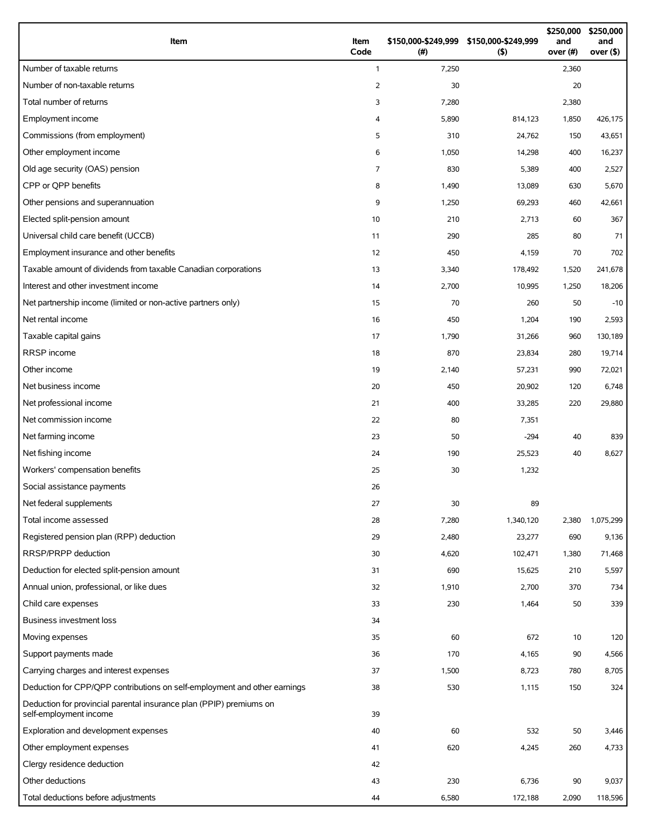| Item                                                                                          | Item<br>Code   | \$150,000-\$249,999 \$150,000-\$249,999<br>(# ) | (5)       | \$250,000<br>and<br>over (#) | \$250,000<br>and<br>over $($ \$) |
|-----------------------------------------------------------------------------------------------|----------------|-------------------------------------------------|-----------|------------------------------|----------------------------------|
| Number of taxable returns                                                                     | $\mathbf{1}$   | 7,250                                           |           | 2,360                        |                                  |
| Number of non-taxable returns                                                                 | $\overline{2}$ | 30                                              |           | 20                           |                                  |
| Total number of returns                                                                       | 3              | 7,280                                           |           | 2,380                        |                                  |
| Employment income                                                                             | 4              | 5,890                                           | 814,123   | 1,850                        | 426,175                          |
| Commissions (from employment)                                                                 | 5              | 310                                             | 24,762    | 150                          | 43,651                           |
| Other employment income                                                                       | 6              | 1,050                                           | 14,298    | 400                          | 16,237                           |
| Old age security (OAS) pension                                                                | $\overline{7}$ | 830                                             | 5,389     | 400                          | 2,527                            |
| CPP or OPP benefits                                                                           | 8              | 1,490                                           | 13,089    | 630                          | 5,670                            |
| Other pensions and superannuation                                                             | 9              | 1,250                                           | 69,293    | 460                          | 42,661                           |
| Elected split-pension amount                                                                  | 10             | 210                                             | 2,713     | 60                           | 367                              |
| Universal child care benefit (UCCB)                                                           | 11             | 290                                             | 285       | 80                           | 71                               |
| Employment insurance and other benefits                                                       | 12             | 450                                             | 4,159     | 70                           | 702                              |
| Taxable amount of dividends from taxable Canadian corporations                                | 13             | 3,340                                           | 178,492   | 1,520                        | 241,678                          |
| Interest and other investment income                                                          | 14             | 2,700                                           | 10,995    | 1,250                        | 18,206                           |
| Net partnership income (limited or non-active partners only)                                  | 15             | 70                                              | 260       | 50                           | $-10$                            |
| Net rental income                                                                             | 16             | 450                                             | 1,204     | 190                          | 2,593                            |
| Taxable capital gains                                                                         | 17             | 1,790                                           | 31,266    | 960                          | 130,189                          |
| RRSP income                                                                                   | 18             | 870                                             | 23,834    | 280                          | 19,714                           |
| Other income                                                                                  | 19             | 2,140                                           | 57,231    | 990                          | 72,021                           |
| Net business income                                                                           | 20             | 450                                             | 20,902    | 120                          | 6,748                            |
| Net professional income                                                                       | 21             | 400                                             | 33,285    | 220                          | 29,880                           |
| Net commission income                                                                         | 22             | 80                                              | 7,351     |                              |                                  |
| Net farming income                                                                            | 23             | 50                                              | $-294$    | 40                           | 839                              |
| Net fishing income                                                                            | 24             | 190                                             | 25,523    | 40                           | 8,627                            |
| Workers' compensation benefits                                                                | 25             | 30                                              | 1,232     |                              |                                  |
| Social assistance payments                                                                    | 26             |                                                 |           |                              |                                  |
| Net federal supplements                                                                       | 27             | 30                                              | 89        |                              |                                  |
| Total income assessed                                                                         | 28             | 7,280                                           | 1,340,120 | 2,380                        | 1,075,299                        |
| Registered pension plan (RPP) deduction                                                       | 29             | 2,480                                           | 23,277    | 690                          | 9,136                            |
| RRSP/PRPP deduction                                                                           | 30             | 4,620                                           | 102,471   | 1,380                        | 71,468                           |
| Deduction for elected split-pension amount                                                    | 31             | 690                                             | 15,625    | 210                          | 5,597                            |
| Annual union, professional, or like dues                                                      | 32             | 1,910                                           | 2,700     | 370                          | 734                              |
| Child care expenses                                                                           | 33             | 230                                             | 1,464     | 50                           | 339                              |
| <b>Business investment loss</b>                                                               | 34             |                                                 |           |                              |                                  |
| Moving expenses                                                                               | 35             | 60                                              | 672       | 10                           | 120                              |
| Support payments made                                                                         | 36             | 170                                             | 4,165     | 90                           | 4,566                            |
| Carrying charges and interest expenses                                                        | 37             | 1,500                                           | 8,723     | 780                          | 8,705                            |
| Deduction for CPP/QPP contributions on self-employment and other earnings                     | 38             | 530                                             | 1,115     | 150                          | 324                              |
| Deduction for provincial parental insurance plan (PPIP) premiums on<br>self-employment income | 39             |                                                 |           |                              |                                  |
| Exploration and development expenses                                                          | 40             | 60                                              | 532       | 50                           | 3,446                            |
| Other employment expenses                                                                     | 41             | 620                                             | 4,245     | 260                          | 4,733                            |
| Clergy residence deduction                                                                    | 42             |                                                 |           |                              |                                  |
| Other deductions                                                                              | 43             | 230                                             | 6,736     | 90                           | 9,037                            |
| Total deductions before adjustments                                                           | 44             | 6,580                                           | 172,188   | 2,090                        | 118,596                          |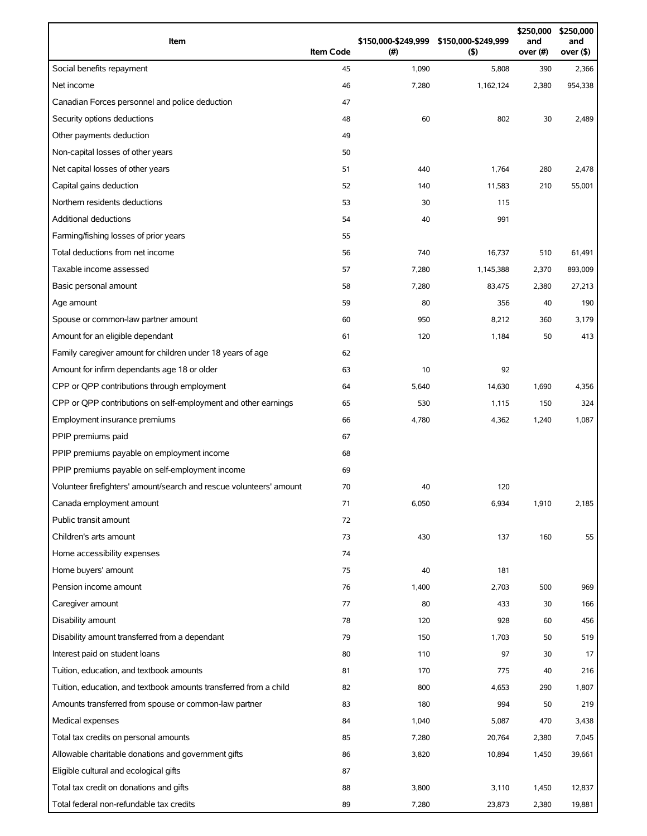| Item                                                                | <b>Item Code</b> | (#)   | \$150,000-\$249,999 \$150,000-\$249,999<br>(5) | \$250,000<br>and<br>over (#) | \$250,000<br>and<br>over (\$) |
|---------------------------------------------------------------------|------------------|-------|------------------------------------------------|------------------------------|-------------------------------|
| Social benefits repayment                                           | 45               | 1,090 | 5,808                                          | 390                          | 2,366                         |
| Net income                                                          | 46               | 7,280 | 1,162,124                                      | 2,380                        | 954,338                       |
| Canadian Forces personnel and police deduction                      | 47               |       |                                                |                              |                               |
| Security options deductions                                         | 48               | 60    | 802                                            | 30                           | 2,489                         |
| Other payments deduction                                            | 49               |       |                                                |                              |                               |
| Non-capital losses of other years                                   | 50               |       |                                                |                              |                               |
| Net capital losses of other years                                   | 51               | 440   | 1,764                                          | 280                          | 2,478                         |
| Capital gains deduction                                             | 52               | 140   | 11,583                                         | 210                          | 55,001                        |
| Northern residents deductions                                       | 53               | 30    | 115                                            |                              |                               |
| <b>Additional deductions</b>                                        | 54               | 40    | 991                                            |                              |                               |
| Farming/fishing losses of prior years                               | 55               |       |                                                |                              |                               |
| Total deductions from net income                                    | 56               | 740   | 16,737                                         | 510                          | 61,491                        |
| Taxable income assessed                                             | 57               | 7,280 | 1,145,388                                      | 2,370                        | 893,009                       |
| Basic personal amount                                               | 58               | 7,280 | 83,475                                         | 2,380                        | 27,213                        |
| Age amount                                                          | 59               | 80    | 356                                            | 40                           | 190                           |
| Spouse or common-law partner amount                                 | 60               | 950   | 8,212                                          | 360                          | 3,179                         |
| Amount for an eligible dependant                                    | 61               | 120   | 1,184                                          | 50                           | 413                           |
| Family caregiver amount for children under 18 years of age          | 62               |       |                                                |                              |                               |
| Amount for infirm dependants age 18 or older                        | 63               | 10    | 92                                             |                              |                               |
| CPP or QPP contributions through employment                         | 64               | 5,640 | 14,630                                         | 1,690                        | 4,356                         |
| CPP or QPP contributions on self-employment and other earnings      | 65               | 530   | 1,115                                          | 150                          | 324                           |
| Employment insurance premiums                                       | 66               | 4,780 | 4,362                                          | 1,240                        | 1,087                         |
| PPIP premiums paid                                                  | 67               |       |                                                |                              |                               |
| PPIP premiums payable on employment income                          | 68               |       |                                                |                              |                               |
| PPIP premiums payable on self-employment income                     | 69               |       |                                                |                              |                               |
| Volunteer firefighters' amount/search and rescue volunteers' amount | 70               | 40    | 120                                            |                              |                               |
| Canada employment amount                                            | 71               | 6,050 | 6,934                                          | 1,910                        | 2,185                         |
| Public transit amount                                               | 72               |       |                                                |                              |                               |
| Children's arts amount                                              | 73               | 430   | 137                                            | 160                          | 55                            |
| Home accessibility expenses                                         | 74               |       |                                                |                              |                               |
| Home buyers' amount                                                 | 75               | 40    | 181                                            |                              |                               |
| Pension income amount                                               | 76               | 1,400 | 2,703                                          | 500                          | 969                           |
| Caregiver amount                                                    | 77               | 80    | 433                                            | 30                           | 166                           |
| Disability amount                                                   | 78               | 120   | 928                                            | 60                           | 456                           |
| Disability amount transferred from a dependant                      | 79               | 150   | 1,703                                          | 50                           | 519                           |
| Interest paid on student loans                                      | 80               | 110   | 97                                             | 30                           | 17                            |
| Tuition, education, and textbook amounts                            | 81               | 170   | 775                                            | 40                           | 216                           |
| Tuition, education, and textbook amounts transferred from a child   | 82               | 800   | 4,653                                          | 290                          | 1,807                         |
| Amounts transferred from spouse or common-law partner               | 83               | 180   | 994                                            | 50                           | 219                           |
| Medical expenses                                                    | 84               | 1,040 | 5,087                                          | 470                          | 3,438                         |
| Total tax credits on personal amounts                               | 85               | 7,280 | 20,764                                         | 2,380                        | 7,045                         |
| Allowable charitable donations and government gifts                 | 86               | 3,820 | 10,894                                         | 1,450                        | 39,661                        |
| Eligible cultural and ecological gifts                              | 87               |       |                                                |                              |                               |
| Total tax credit on donations and gifts                             | 88               | 3,800 | 3,110                                          | 1,450                        | 12,837                        |
| Total federal non-refundable tax credits                            | 89               | 7,280 | 23,873                                         | 2,380                        | 19,881                        |